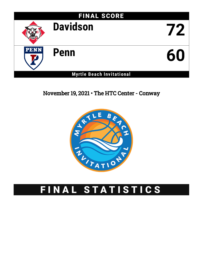

## November 19, 2021 • The HTC Center - Conway



# FINAL STATISTICS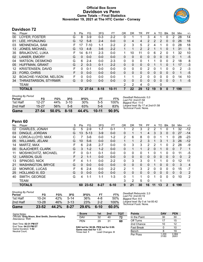### **Official Box Score Davidson vs Penn Game Totals -- Final Statistics November 19, 2021 at The HTC Center - Conway**



### **Davidson 72**

| No. | Player                   | S | Pts           | FG       | 3FG      | FT        | 0R | DR.          | TR             | PF                | A        | TO       | <b>B</b> lk | Stl      | Min            | $+/-$ |
|-----|--------------------------|---|---------------|----------|----------|-----------|----|--------------|----------------|-------------------|----------|----------|-------------|----------|----------------|-------|
| 00  | LOYER, FOSTER            | G | 8             | $3-9$    | $0 - 3$  | 2-2       | 0  |              |                | 3                 | 4        |          | 0           | 2        | 28             | 14    |
| 01  | LEE, HYUNJUNG            | G | 12            | $5-8$    | $2 - 4$  | $0 - 0$   | 0  | 4            | 4              | $\overline{2}$    | 2        | 2        | 0           | 0        | 26             | 16    |
| 03  | MENNENGA, SAM            | F | 17            | $7 - 10$ | $1 - 1$  | $2 - 2$   | 2  | 3            | 5              | 2                 | 4        | 1        | $\Omega$    | 0        | 28             | 18    |
| 13  | <b>JONES, MICHAEL</b>    | G | 13            | $4 - 8$  | $3 - 6$  | $2 - 2$   |    | 1            | $\overline{2}$ | 2                 |          |          | $\Omega$    |          | 31             | 5     |
| 35  | <b>BRAJKOVIC, LUKA</b>   | F | 14            | $6 - 11$ | $2 - 3$  | $0 - 0$   | 1. | 10           | 11             | $\Omega$          | 6        | 2        | 0           |          | 32             | 10    |
| 02  | <b>LANIER, EMORY</b>     | G | $\Omega$      | $0 - 0$  | $0 - 0$  | $0 - 0$   | 0  | 0            | $\mathbf{0}$   | $\Omega$          | 0        | 0        | 0           | 0        | 1              | $-5$  |
| 04  | <b>WATSON, DESMOND</b>   | G | 6             | $2 - 4$  | $0 - 0$  | $2 - 3$   | 0  | 0            | $\mathbf{0}$   |                   |          | 0        | 0           | 2        | 18             | 8     |
| 05  | HUFFMAN, GRANT           | G | $\mathcal{P}$ | $0 - 3$  | $0 - 1$  | $2 - 2$   | 0  | $\Omega$     | $\mathbf{0}$   | 0                 |          |          | 0           | 1        | 17             | $-3$  |
| 12  | <b>KRISTENSEN, DAVID</b> | F | 0             | $0 - 1$  | $0 - 0$  | $0-0$     | 0  | $\mathbf{0}$ | $\mathbf{0}$   | $\overline{2}$    | 0        |          | 0           | 0        | $\overline{2}$ | -3    |
| 23  | FORD, CHRIS              | F | $\Omega$      | $0 - 0$  | $0 - 0$  | $0 - 0$   | 0  | $\Omega$     | $\mathbf{0}$   | $\Omega$          | 0        | $\Omega$ | $\Omega$    | $\Omega$ | 1              | $-5$  |
| 32  | BOACHIE-YIADOM, NELSON   | F | 0             | $0 - 0$  | $0 - 0$  | $0 - 0$   | 1  | 1            | 2              | 0                 | 0        | $\Omega$ | 0           | 0        | 14             | 10    |
| 34  | THRASTARSON, STYRMIR     | G | $\Omega$      | $0 - 0$  | $0 - 0$  | $0 - 0$   | 0  | $\Omega$     | $\Omega$       | $\Omega$          | $\Omega$ | 0        | 0           | 0        | 1              | $-5$  |
|     | TEAM                     |   |               |          |          |           | 2  | 2            | 4              | $\Omega$          |          | 0        |             |          |                |       |
|     | <b>TOTALS</b>            |   |               | 72 27-54 | $8 - 18$ | $10 - 11$ | 7  | 22           | 29             | $12 \overline{ }$ | 19       | 9        | $\Omega$    | 7        | 199            |       |
|     |                          |   |               |          |          |           |    |              |                |                   |          |          |             |          |                |       |

| <b>Shooting By Period</b><br>Period | FG        | FG%   | 3FG      | 3FG%  | FT    | FT%   |
|-------------------------------------|-----------|-------|----------|-------|-------|-------|
| 1st Half                            | $12 - 27$ | 44%   | $3 - 10$ | 30%   | $5-5$ | 100%  |
| 2nd Half                            | $15 - 27$ | .56%  | 5-8      | 63%   | $5-6$ | 83%   |
| Game                                | $27 - 54$ | 50.0% | 8-18     | 44.4% | 10-11 | 90.9% |

*Deadball Rebounds:* 0,0 *Last FG:* 2nd-01:58 *Biggest Run:* 11-0 *Largest lead:* By 17 at 2nd-01:58 *Technical Fouls:* None.

### **Penn 60**

Neutral Court;

| No.               | Player                   | S | Pts           | FG       | 3FG      | FT       | 0R             | DR           | TR           | PF             | A        | TO.      | <b>B</b> lk  | Stl      | Min          | $+/-$          |
|-------------------|--------------------------|---|---------------|----------|----------|----------|----------------|--------------|--------------|----------------|----------|----------|--------------|----------|--------------|----------------|
| 02                | CHARLES, JONAH           | G | 5             | $2 - 9$  | 1-7      | $0 - 1$  |                | 2            | 3            | 2              | 2        |          | 0            |          | 32           | $-12$          |
| 03                | DINGLE, JORDAN           | G | 13            | $5 - 13$ | $3-9$    | $0 - 0$  | 0              |              |              | 4              | 3        | 3        | 0            | 0        | 27           | $-14$          |
| 04                | LORCA-LLOYD, MAX         | С |               | 3-6      | $0 - 0$  | $1 - 2$  | $\overline{2}$ | 6            | 8            | $\Omega$       | 0        |          |              | 0        | 28           | $-23$          |
| 05                | <b>WILLIAMS, JELANI</b>  | G | 10            | $5-6$    | $0 - 0$  | $0 - 0$  |                | $\mathbf{1}$ | 2            | 3              |          | 3        |              | 3        | 26           | $-12$          |
| 14                | MARTZ, MAX               | F | 6             | $2 - 8$  | $2 - 7$  | $0 - 0$  | 0              | 3            | 3            | 2              | 2        |          | 0            | 2        | 28           | -9             |
| 00                | <b>SLAJCHERT, CLARK</b>  | G | 3             | $1 - 2$  | $1 - 2$  | $0 - 0$  | $\Omega$       |              | 1            | $\overline{2}$ | $\Omega$ |          | 0            | 0        | 7            | 1              |
| 11                | MOSHKOVITZ, MICHAEL      | F | 0             | $0 - 1$  | $0 - 1$  | $0 - 0$  | 0              | 0            | 0            |                | 0        |          | 0            | 0        | 11           | -5             |
| $12 \overline{ }$ | LARSON, GUS              | F | $\mathcal{P}$ | $1 - 1$  | $0 - 0$  | $0 - 0$  | $\mathbf{0}$   | 0            | $\mathbf{0}$ | 0              | $\Omega$ | 0        | 0            | 0        | $\mathbf 0$  | $\overline{2}$ |
| 13                | SPINOSO, NICK            | F | 4             | 1-1      | $0 - 0$  | $2 - 2$  | 0              | 3            | 3            | 0              |          |          | 0            | 0        | 12           | 11             |
| 21                | <b>WASHINGTON, BRYCE</b> | G | 0             | $0 - 0$  | $0 - 0$  | $0 - 0$  | $\Omega$       | 0            | $\mathbf{0}$ | 0              |          | $\Omega$ | 0            | 0        | 3            | $\overline{4}$ |
| 22                | MONROE, LUCAS            | F | 6.            | $2 - 4$  | $0 - 0$  | $2 - 2$  | 2              |              | 3            | 2              | $\Omega$ | 0        | 0            | 0        | 15           | $-7$           |
| 25                | <b>HOLLAND III, ED</b>   | G | 0             | $0 - 0$  | $0 - 0$  | $0 - 0$  | $\mathbf{0}$   | 0            | $\mathbf{0}$ | 0              | 0        | 0        | 0            | 0        | $\mathbf{0}$ | $\overline{2}$ |
| 40                | SMITH, GEORGE            | G | 4             | $1 - 1$  | 1-1      | $1 - 3$  | $\Omega$       | 1            | 1            | 0              | 1        | 0        | $\Omega$     | $\Omega$ | 10           | $\overline{2}$ |
|                   | TEAM                     |   |               |          |          |          | 3              | 2            | 5            | $\mathbf{0}$   |          |          |              |          |              |                |
|                   | <b>TOTALS</b>            |   |               | 60 23-52 | $8 - 27$ | $6 - 10$ | 9              | 21           | 30           | 16             | 11       | 13       | $\mathbf{2}$ | 6        | 199          |                |

| 2nd Half<br>Game                    | $13 - 28$<br>23-52 | 46%<br>44.2% | $3 - 13$<br>$8 - 27$ | 23%<br>29.6% | $6 - 10$       | 100%<br>60.0% | Technica               |
|-------------------------------------|--------------------|--------------|----------------------|--------------|----------------|---------------|------------------------|
| 1st Half                            | $10 - 24$          | 42%          | $5-14$               | 36%          | 4-8<br>$2 - 2$ | 50%           | Biaaest l<br>Largest I |
| <b>Shooting By Period</b><br>Period | FG                 | FG%          | 3FG                  | 3FG%         | FT             | FT%           | Deadball<br>Last FG:   |

*Deadball Rebounds:* 2,0 *Last FG:* 2nd-00:19 *Biggest Run:* 8-0 *Largest lead:* By 0 at 1st-00:42 *Technical Fouls:* None.

| Game Notes:                                                             | <b>Score</b>                                                   | 1st | 2nd | тот |
|-------------------------------------------------------------------------|----------------------------------------------------------------|-----|-----|-----|
| Officials: Greg Nixon, Bret Smith, Donnie Eppley<br>Attendance: 1131    | <b>DAV</b>                                                     | 32  | 40  | 72  |
|                                                                         | <b>PFN</b>                                                     | 29  | 31  | 60  |
| Start Time: 02:31 PM ET<br>End Time: 04:23 PM ET<br>Game Duration: 1:52 | DAV led for 38:06. PEN led for 0:00.<br>Game was tied for 1:37 |     |     |     |

**DAV led for 38:06. PEN led for 0:00. Game was tied for 1:37.** Times tied: **1** Lead Changes: **0**

| <b>Points</b>     | <b>DAV</b>     | <b>PEN</b>     |
|-------------------|----------------|----------------|
| In the Paint      | 30             | 30             |
| Off Turns         | 17             | 15             |
| 2nd Chance        | 10             | 12             |
| <b>Fast Break</b> | ი              | 10             |
| Bench             | 8              | 19             |
| Per Poss          | 1.200<br>31/60 | 0.984<br>26/61 |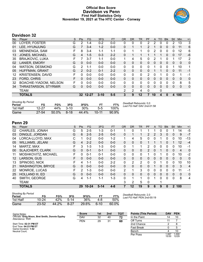### **Official Box Score Davidson vs Penn First Half Statistics Only November 19, 2021 at The HTC Center - Conway**



### **Davidson 32**

| No. | Player                 | S | <b>Pts</b> | FG       | 3FG      | <b>FT</b> | <b>OR</b>   | <b>DR</b>    | TR           | PF            | A  | TO       | <b>Blk</b>   | Stl      | <b>Min</b> | $+/-$ |
|-----|------------------------|---|------------|----------|----------|-----------|-------------|--------------|--------------|---------------|----|----------|--------------|----------|------------|-------|
| 00  | LOYER, FOSTER          | G | 2          | 1-4      | $0 - 2$  | $0 - 0$   | 0           | 0            | 0            | 2             | 2  | 0        | 0            | 2        | 13         | 3     |
| 01  | LEE, HYUNJUNG          | G |            | $3 - 4$  | $1 - 2$  | $0 - 0$   | 0           |              | 1            | 2             |    | 0        | 0            | 0        | 11         | 6     |
| 03  | MENNENGA, SAM          | F | 8          | $3-4$    | $1 - 1$  | $1 - 1$   | 0           |              | 1            | $\Omega$      | 2  | 0        | 0            | 0        | 12         | 6     |
| 13  | <b>JONES, MICHAEL</b>  | G | 4          | $1 - 5$  | $0 - 3$  | $2 - 2$   | 0           |              |              |               |    |          | $\mathbf{0}$ | 0        | 17         | -6    |
| 35  | <b>BRAJKOVIC, LUKA</b> | F | 7          | $3 - 7$  | $1 - 1$  | $0 - 0$   | $\mathbf 1$ | 4            | 5            | 0             | 2  |          | 0            | 1        | 17         | 2     |
| 02  | LANIER, EMORY          | G | 0          | $0 - 0$  | $0 - 0$  | $0 - 0$   | 0           | 0            | $\mathbf{0}$ | 0             | 0  | 0        | 0            | 0        | 0          | 0     |
| 04  | WATSON, DESMOND        | G | 2          | $1 - 1$  | $0 - 0$  | $0 - 0$   | 0           | $\mathbf{0}$ | $\mathbf{0}$ | 0             |    | 0        | 0            | 1        | 10         | 1     |
| 05  | HUFFMAN, GRANT         | G | 2          | $0 - 2$  | $0 - 1$  | $2 - 2$   | 0           | 0            | $\mathbf{0}$ | 0             |    |          | $\Omega$     | 0        | 11         | $-1$  |
| 12  | KRISTENSEN, DAVID      | F | 0          | $0 - 0$  | $0 - 0$  | $0 - 0$   | 0           | $\Omega$     | $\Omega$     | $\mathcal{P}$ | 0  |          | 0            | 0        | 1          | -1    |
| 23  | FORD, CHRIS            | F | 0          | $0 - 0$  | $0 - 0$  | $0 - 0$   | 0           | 0            | $\mathbf{0}$ | $\Omega$      | 0  | 0        | 0            | 0        | 0          | 0     |
| 32  | BOACHIE-YIADOM, NELSON | F | 0          | $0 - 0$  | $0 - 0$  | $0 - 0$   | 0           | $\Omega$     | $\Omega$     | $\Omega$      | 0  | $\Omega$ | 0            | $\Omega$ | 8          | 5     |
| 34  | THRASTARSON, STYRMIR   | G | 0          | $0 - 0$  | $0 - 0$  | $0 - 0$   | 0           | 0            | $\Omega$     | 0             | 0  | 0        | 0            | 0        | $\Omega$   | 0     |
|     | <b>TEAM</b>            |   |            |          |          |           | 2           | 2            | 4            | $\Omega$      |    | $\Omega$ |              |          |            |       |
|     | <b>TOTALS</b>          |   |            | 32 12-27 | $3 - 10$ | $5-5$     | 3           | 9            | 12           |               | 10 | 4        | $\Omega$     | 4        | 100        |       |

| <b>Shooting By Period</b><br>Period | FG        | FG%      | 3FG      | 3FG%  |           | FT%   | Deadball Rebounds: 0,0<br>Last FG Half: DAV 2nd-01:58 |
|-------------------------------------|-----------|----------|----------|-------|-----------|-------|-------------------------------------------------------|
| 1st Half                            | 12-27     | 44%      | $3 - 10$ | 30%   | 5-5       | 100%  |                                                       |
| Game                                | $27 - 54$ | $50.0\%$ | $8 - 18$ | 44.4% | $10 - 11$ | 90.9% |                                                       |

### **Penn 29**

| No. | <b>Plaver</b>            | S | <b>Pts</b> | <b>FG</b> | 3FG      | <b>FT</b> | <b>OR</b> | <b>DR</b> | <b>TR</b>    | <b>PF</b>      | A        | TO       | <b>Blk</b>   | Stl          | Min            | $+/-$          |
|-----|--------------------------|---|------------|-----------|----------|-----------|-----------|-----------|--------------|----------------|----------|----------|--------------|--------------|----------------|----------------|
| 02  | <b>CHARLES, JONAH</b>    | G | 5          | $2 - 5$   | 1-3      | $0 - 1$   |           | 0         |              |                |          | 0        |              |              | 14             | $-5$           |
| 03  | DINGLE, JORDAN           | G | 6          | $2 - 5$   | $2 - 5$  | $0 - 0$   | 0         |           |              | $\overline{2}$ | 2        | 3        | $\mathbf{0}$ | 0            | 9              | $-7$           |
| 04  | LORCA-LLOYD, MAX         | С |            | $0 - 2$   | $0 - 0$  | $1 - 2$   | 1         | 4         | 5            | 0              | 0        |          | 0            | 0            | 10             | -13            |
| 05  | <b>WILLIAMS, JELANI</b>  | G | 4          | $2 - 2$   | $0 - 0$  | $0 - 0$   | $\Omega$  | 0         | $\Omega$     |                | 1        |          | 0            |              | 12             | $-4$           |
| 14  | MARTZ, MAX               | F | 3          | $1 - 3$   | $1 - 3$  | $0-0$     | 0         |           |              | 2              | 0        | 0        | 0            | 0            | 10             | $-1$           |
| 00  | <b>SLAJCHERT, CLARK</b>  | G | 0          | $0 - 1$   | $0 - 1$  | $0 - 0$   | 0         | 0         | $\mathbf{0}$ | 2              | $\Omega$ |          | $\mathbf{0}$ | 0            | $\overline{4}$ | $\mathbf{0}$   |
| 11  | MOSHKOVITZ, MICHAEL      | F | 0          | $0 - 1$   | $0 - 1$  | $0 - 0$   | 0         | 0         | $\mathbf{0}$ |                | 0        |          | 0            | 0            | 10             | $-2$           |
| 12  | LARSON, GUS              | F | 0          | $0 - 0$   | $0 - 0$  | $0 - 0$   | $\Omega$  | 0         | $\mathbf{0}$ | 0              | $\Omega$ | 0        | 0            | 0            | $\Omega$       | $\mathbf 0$    |
| 13  | SPINOSO, NICK            | F | 4          | 1-1       | $0 - 0$  | $2 - 2$   | 0         | 2         | 2            | 0              | 0        |          | 0            | 0            | 10             | 10             |
| 21  | <b>WASHINGTON, BRYCE</b> | G | 0          | $0 - 0$   | $0 - 0$  | $0 - 0$   | $\Omega$  | $\Omega$  | $\mathbf{0}$ | 0              | 1        | $\Omega$ | $\Omega$     | 0            | 3              | $\overline{4}$ |
| 22  | MONROE, LUCAS            | F | 2          | $1 - 3$   | $0 - 0$  | $0 - 0$   | 2         |           | 3            | 0              | 0        | 0        | 0            | 0            | 11             | $-1$           |
| 25  | <b>HOLLAND III, ED</b>   | G | 0          | $0-0$     | $0 - 0$  | $0 - 0$   | $\Omega$  | 0         | $\Omega$     | 0              | $\Omega$ | 0        | 0            | 0            | $\mathbf{0}$   | 0              |
| 40  | SMITH, GEORGE            | G | 4          | 1-1       | 1-1      | $1 - 3$   | 0         |           |              | 0              | 1        | 0        | $\Omega$     | 0            | 8              | 4              |
|     | <b>TEAM</b>              |   |            |           |          |           | 3         | 2         | 5            | 0              |          |          |              |              |                |                |
|     | <b>TOTALS</b>            |   | 29         | $10 - 24$ | $5 - 14$ | $4 - 8$   | 7         | 12        | 19           | 9              | 6        | 9        | 0            | $\mathbf{2}$ | 100            |                |
|     |                          |   |            |           |          |           |           |           |              |                |          |          |              |              |                |                |

| <b>Shooting By Period</b> |           |       |        |       |      |       |
|---------------------------|-----------|-------|--------|-------|------|-------|
| Period                    | FG        | FG%   | 3FG    | 3FG%  |      | FT%   |
| 1st Half                  | $10 - 24$ | 42%   | 5-14   | 36%   | 4-8  | 50%   |
| Game                      | $23 - 52$ | 44.2% | $8-27$ | 29.6% | ჩ-10 | 60.0% |

*Deadball Rebounds:* 2,0 *Last FG Half:* PEN 2nd-00:19

| Game Notes:                                                          | <b>Score</b> | 1st | 2nd | <b>TOT</b> | <b>Points (This Period)</b> | <b>DAV</b>     | <b>PEN</b>     |
|----------------------------------------------------------------------|--------------|-----|-----|------------|-----------------------------|----------------|----------------|
| Officials: Greg Nixon, Bret Smith, Donnie Eppley<br>Attendance: 1131 | <b>DAV</b>   | 32  | 40  | 72         | In the Paint                | 14             | 10             |
|                                                                      | <b>PEN</b>   | 29  | 31  | 60         | Off Turns                   |                |                |
| Start Time: 02:31 PM ET                                              |              |     |     |            | 2nd Chance                  |                |                |
| End Time: 04:23 PM ET<br>Game Duration: 1:52                         |              |     |     |            | <b>Fast Break</b>           |                |                |
| Neutral Court:                                                       |              |     |     |            | Bench                       |                | 10             |
|                                                                      |              |     |     |            | Per Poss                    | l.067<br>15/30 | 1.000<br>12/29 |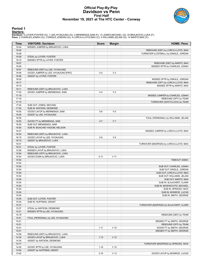### **Official Play-By-Play Davidson vs Penn First Half November 19, 2021 at The HTC Center - Conway**



#### **Period 1**

<mark>Startersː</mark><br>Davidson: 0 LOYER,FOSTER (G); 1 LEE,HYUNJUNG (G); 3 MENNENGA,SAM (F); 13 JONES,MICHAEL (G); 35 BRAJKOVIC,LUKA (F);<br>Penn: 2 CHARLES,JONAH (G); 3 DINGLE,JORDAN (G); 4 LORCA-LLOYD,MAX (C); 5 WILLIAMS,JELANI (G); 1

| Time           | <b>VISITORS: Davidson</b>                                        | <b>Score</b> | <b>Margin</b>   | <b>HOME: Penn</b>                      |
|----------------|------------------------------------------------------------------|--------------|-----------------|----------------------------------------|
| 19:44          | MISSED JUMPER by BRAJKOVIC, LUKA                                 |              |                 |                                        |
| 19:40          |                                                                  |              |                 | REBOUND (DEF) by LORCA-LLOYD, MAX      |
| 19:28          |                                                                  |              |                 | TURNOVER (LOSTBALL) by DINGLE, JORDAN  |
| 19:28          | STEAL by LOYER, FOSTER                                           |              |                 |                                        |
| 19:10          | MISSED 3PTR by LOYER, FOSTER                                     |              |                 |                                        |
| 19:07          |                                                                  |              |                 | REBOUND (DEF) by MARTZ, MAX            |
| 19:00          |                                                                  |              |                 | MISSED 3PTR by CHARLES, JONAH          |
| 18:57          | REBOUND (DEF) by LEE, HYUNJUNG                                   |              |                 |                                        |
| 18:46          | GOOD! JUMPER by LEE, HYUNJUNG [PNT]                              | $0 - 2$      | V <sub>2</sub>  |                                        |
| 18:46          | ASSIST by LOYER, FOSTER                                          |              |                 |                                        |
| 18:20          |                                                                  |              |                 | MISSED 3PTR by DINGLE, JORDAN          |
| 18:17          |                                                                  |              |                 | REBOUND (OFF) by LORCA-LLOYD, MAX      |
| 18:15          |                                                                  |              |                 | MISSED 3PTR by MARTZ, MAX              |
| 18:11          | REBOUND (DEF) by BRAJKOVIC, LUKA                                 |              |                 |                                        |
| 17:53          | GOOD! JUMPER by MENNENGA, SAM                                    | $0 - 4$      | V <sub>4</sub>  |                                        |
| 17:19          |                                                                  |              |                 | MISSED JUMPER by CHARLES, JONAH        |
| 17:16          |                                                                  |              |                 | REBOUND (OFF) by TEAM                  |
| 17:15          |                                                                  |              |                 | TURNOVER (SHOTCLOCK) by TEAM           |
| 17:04          | SUB OUT: JONES, MICHAEL                                          |              |                 |                                        |
| 17:04          | SUB IN: WATSON, DESMOND                                          |              |                 |                                        |
| 16:55          | GOOD! LAYUP by MENNENGA, SAM                                     | $0-6$        | $V_6$           |                                        |
| 16:55          | ASSIST by LEE, HYUNJUNG                                          |              |                 |                                        |
| 16:55          |                                                                  |              |                 | FOUL (PERSONAL) by WILLIAMS, JELANI    |
| 16:55          | GOOD! FT by MENNENGA, SAM                                        | $0 - 7$      | V <sub>7</sub>  |                                        |
| 16:55          | SUB OUT: MENNENGA, SAM                                           |              |                 |                                        |
| 16:55<br>16:27 | SUB IN: BOACHIE-YIADOM, NELSON                                   |              |                 |                                        |
| 16:24          |                                                                  |              |                 | MISSED JUMPER by LORCA-LLOYD, MAX      |
| 16:15          | REBOUND (DEF) by BRAJKOVIC, LUKA<br>GOOD! LAYUP by LEE, HYUNJUNG | $0 - 9$      | V <sub>9</sub>  |                                        |
| 16:15          | ASSIST by BRAJKOVIC, LUKA                                        |              |                 |                                        |
| 16:01          |                                                                  |              |                 | TURNOVER (BADPASS) by LORCA-LLOYD, MAX |
| 16:01          | STEAL by LOYER, FOSTER                                           |              |                 |                                        |
| 15:56          | MISSED LAYUP by BRAJKOVIC, LUKA                                  |              |                 |                                        |
| 15:54          | REBOUND (OFF) by BRAJKOVIC, LUKA                                 |              |                 |                                        |
| 15:54          | GOOD! DUNK by BRAJKOVIC, LUKA                                    | $0 - 11$     | $V$ 11          |                                        |
| 15:54          |                                                                  |              |                 | TIMEOUT 30SEC                          |
| 15:54          |                                                                  |              |                 |                                        |
| 15:54          |                                                                  |              |                 | SUB OUT: CHARLES, JONAH                |
| 15:54          |                                                                  |              |                 | SUB OUT: DINGLE, JORDAN                |
| 15:54          |                                                                  |              |                 | SUB OUT: LORCA-LLOYD, MAX              |
| 15:54          |                                                                  |              |                 | SUB OUT: WILLIAMS, JELANI              |
| 15:54          |                                                                  |              |                 | SUB OUT: MARTZ, MAX                    |
| 15:54          |                                                                  |              |                 | SUB IN: SLAJCHERT, CLARK               |
| 15:54          |                                                                  |              |                 | SUB IN: MOSHKOVITZ, MICHAEL            |
| 15:54          |                                                                  |              |                 | SUB IN: SPINOSO, NICK                  |
| 15:54          |                                                                  |              |                 | SUB IN: MONROE, LUCAS                  |
| 15:54          |                                                                  |              |                 | SUB IN: SMITH, GEORGE                  |
| 15:54          | SUB OUT: LOYER, FOSTER                                           |              |                 |                                        |
| 15:54          | SUB IN: HUFFMAN, GRANT                                           |              |                 |                                        |
| 15:37          |                                                                  |              |                 | TURNOVER (BADPASS) by SLAJCHERT, CLARK |
| 15:37          | STEAL by WATSON, DESMOND                                         |              |                 |                                        |
| 15:21          | MISSED 3PTR by LEE, HYUNJUNG                                     |              |                 |                                        |
| 15:19          |                                                                  |              |                 | REBOUND (DEF) by TEAM                  |
| 15:01          | FOUL (PERSONAL) by LEE, HYUNJUNG                                 |              |                 |                                        |
| 15:01          |                                                                  |              |                 | MISSED FT by SMITH, GEORGE             |
| 15:01          |                                                                  |              |                 | REBOUND (OFF) by TEAM                  |
| 15:01          |                                                                  | $1 - 11$     | $V$ 10          | GOOD! FT by SMITH, GEORGE              |
| 15:01          |                                                                  |              |                 | MISSED FT by SMITH, GEORGE             |
| 14:59          | REBOUND (DEF) by BRAJKOVIC, LUKA                                 |              |                 |                                        |
| 14:34          | GOOD! LAYUP by BRAJKOVIC, LUKA                                   | $1 - 13$     | V <sub>12</sub> |                                        |
| 14:34          | ASSIST by WATSON, DESMOND                                        |              |                 |                                        |
| 14:17          |                                                                  |              |                 | TURNOVER (BADPASS) by SPINOSO, NICK    |
| 14:00          | GOOD! 3PTR by LEE, HYUNJUNG                                      | $1 - 16$     | V <sub>15</sub> |                                        |
| 14:00          | ASSIST by HUFFMAN, GRANT                                         |              |                 |                                        |
| 13:42          |                                                                  | $3 - 16$     | $V$ 13          | GOOD! LAYUP by MONROE, LUCAS           |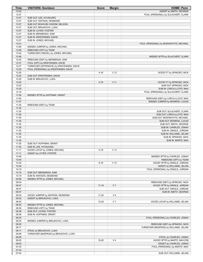| Time           | <b>VISITORS: Davidson</b>                                         | <b>Score</b> | <b>Margin</b>   | <b>HOME: Penn</b>                                                   |
|----------------|-------------------------------------------------------------------|--------------|-----------------|---------------------------------------------------------------------|
| 13:42          |                                                                   |              |                 | ASSIST by SMITH, GEORGE                                             |
| 13:37          |                                                                   |              |                 | FOUL (PERSONAL) by SLAJCHERT, CLARK                                 |
| 13:37          | SUB OUT: LEE, HYUNJUNG                                            |              |                 |                                                                     |
| 13:37          | SUB OUT: WATSON, DESMOND<br>SUB OUT: BOACHIE-YIADOM, NELSON       |              |                 |                                                                     |
| 13:37<br>13:37 | SUB OUT: BRAJKOVIC, LUKA                                          |              |                 |                                                                     |
| 13:37          | SUB IN: LOYER, FOSTER                                             |              |                 |                                                                     |
| 13:37          | SUB IN: MENNENGA, SAM                                             |              |                 |                                                                     |
| 13:37          | SUB IN: KRISTENSEN, DAVID                                         |              |                 |                                                                     |
| 13:37          | SUB IN: JONES, MICHAEL                                            |              |                 |                                                                     |
| 13:21          |                                                                   |              |                 | FOUL (PERSONAL) by MOSHKOVITZ, MICHAEL                              |
| 13:08          | MISSED JUMPER by JONES, MICHAEL                                   |              |                 |                                                                     |
| 13:06          | REBOUND (OFF) by TEAM                                             |              |                 |                                                                     |
| 13:02          | TURNOVER (TRAVEL) by JONES, MICHAEL                               |              |                 |                                                                     |
| 12:46          |                                                                   |              |                 | MISSED 3PTR by SLAJCHERT, CLARK                                     |
| 12:42<br>12:37 | REBOUND (DEF) by MENNENGA, SAM<br>FOUL (OFF) by KRISTENSEN, DAVID |              |                 |                                                                     |
| 12:37          | TURNOVER (OFFENSIVE) by KRISTENSEN, DAVID                         |              |                 |                                                                     |
| 12:20          | FOUL (PERSONAL) by KRISTENSEN, DAVID                              |              |                 |                                                                     |
| 12:20          |                                                                   | $4 - 16$     | V <sub>12</sub> | GOOD! FT by SPINOSO, NICK                                           |
| 12:20          | SUB OUT: KRISTENSEN, DAVID                                        |              |                 |                                                                     |
| 12:20          | SUB IN: BRAJKOVIC, LUKA                                           |              |                 |                                                                     |
| 12:20          |                                                                   | $5 - 16$     | V <sub>11</sub> | GOOD! FT by SPINOSO, NICK                                           |
| 12:20          |                                                                   |              |                 | SUB OUT: SPINOSO, NICK                                              |
| 12:20          |                                                                   |              |                 | SUB IN: LORCA-LLOYD, MAX                                            |
| 12:18          |                                                                   |              |                 | FOUL (PERSONAL) by SLAJCHERT, CLARK                                 |
| 11:59          | MISSED 3PTR by HUFFMAN, GRANT                                     |              |                 |                                                                     |
| 11:55<br>11:37 |                                                                   |              |                 | REBOUND (DEF) by LORCA-LLOYD, MAX<br>MISSED JUMPER by MONROE, LUCAS |
| 11:35          | REBOUND (DEF) by TEAM                                             |              |                 |                                                                     |
| 11:35          |                                                                   |              |                 |                                                                     |
| 11:35          |                                                                   |              |                 | SUB OUT: SLAJCHERT, CLARK                                           |
| 11:35          |                                                                   |              |                 | SUB OUT: LORCA-LLOYD, MAX                                           |
| 11:35          |                                                                   |              |                 | SUB OUT: MOSHKOVITZ, MICHAEL                                        |
| 11:35          |                                                                   |              |                 | SUB OUT: MONROE, LUCAS                                              |
| 11:35          |                                                                   |              |                 | SUB OUT: SMITH, GEORGE                                              |
| 11:35          |                                                                   |              |                 | SUB IN: CHARLES, JONAH                                              |
| 11:35          |                                                                   |              |                 | SUB IN: DINGLE, JORDAN                                              |
| 11:35          |                                                                   |              |                 | SUB IN: WILLIAMS, JELANI                                            |
| 11:35<br>11:35 |                                                                   |              |                 | SUB IN: SPINOSO, NICK<br>SUB IN: MARTZ, MAX                         |
| 11:35          | SUB OUT: HUFFMAN, GRANT                                           |              |                 |                                                                     |
| 11:35          | SUB IN: LEE, HYUNJUNG                                             |              |                 |                                                                     |
| 11:11          | GOOD! LAYUP by JONES, MICHAEL                                     | $5 - 18$     | V <sub>13</sub> |                                                                     |
| 11:11          | ASSIST by LOYER, FOSTER                                           |              |                 |                                                                     |
| 10:49          |                                                                   |              |                 | MISSED 3PTR by CHARLES, JONAH                                       |
| 10:45          |                                                                   |              |                 | REBOUND (OFF) by TEAM                                               |
| 10:30          |                                                                   | $8 - 18$     | $V$ 10          | GOOD! 3PTR by DINGLE, JORDAN                                        |
| 10:30          |                                                                   |              |                 | ASSIST by WILLIAMS, JELANI                                          |
| 10:19          |                                                                   |              |                 | FOUL (PERSONAL) by DINGLE, JORDAN                                   |
| 10:19<br>10:19 | SUB OUT: MENNENGA, SAM<br>SUB IN: WATSON, DESMOND                 |              |                 |                                                                     |
| 09:56          | MISSED 3PTR by JONES, MICHAEL                                     |              |                 |                                                                     |
| 09:53          |                                                                   |              |                 | REBOUND (DEF) by SPINOSO, NICK                                      |
| 09:47          |                                                                   | $11 - 18$    | V <sub>7</sub>  | GOOD! 3PTR by DINGLE, JORDAN                                        |
| 09:47          |                                                                   |              |                 | SUB OUT: DINGLE, JORDAN                                             |
| 09:47          |                                                                   |              |                 | SUB IN: SMITH, GEORGE                                               |
| 09:25          | GOOD! JUMPER by WATSON, DESMOND                                   | $11 - 20$    | V <sub>9</sub>  |                                                                     |
| 09:25          | ASSIST by BRAJKOVIC, LUKA                                         |              |                 |                                                                     |
| 08:53          |                                                                   | 13-20        | V <sub>7</sub>  | GOOD! LAYUP by WILLIAMS, JELANI                                     |
| 08:40          | MISSED 3PTR by JONES, MICHAEL<br>REBOUND (OFF) by TEAM            |              |                 |                                                                     |
| 08:38          |                                                                   |              |                 |                                                                     |
| 08:38<br>08:38 | SUB OUT: LOYER, FOSTER<br>SUB IN: HUFFMAN, GRANT                  |              |                 |                                                                     |
| 08:33          |                                                                   |              |                 | FOUL (PERSONAL) by CHARLES, JONAH                                   |
| 08:25          | MISSED JUMPER by BRAJKOVIC, LUKA                                  |              |                 |                                                                     |
| 08:22          |                                                                   |              |                 | REBOUND (DEF) by SPINOSO, NICK                                      |
| 08:17          |                                                                   |              |                 | TURNOVER (BADPASS) by WILLIAMS, JELANI                              |
| 08:17          | STEAL by BRAJKOVIC, LUKA                                          |              |                 |                                                                     |
| 08:08          | TURNOVER (BADPASS) by BRAJKOVIC, LUKA                             |              |                 |                                                                     |
| 08:08          |                                                                   |              |                 | STEAL by CHARLES, JONAH                                             |
| 08:02          |                                                                   | 16-20        | V <sub>4</sub>  | GOOD! 3PTR by MARTZ, MAX [FB]                                       |
| 08:02<br>07:43 |                                                                   |              |                 | ASSIST by CHARLES, JONAH<br>FOUL (PERSONAL) by MARTZ, MAX           |
| 07:43          |                                                                   |              |                 |                                                                     |
| 07:43          |                                                                   |              |                 | SUB OUT: WILLIAMS, JELANI                                           |
|                |                                                                   |              |                 |                                                                     |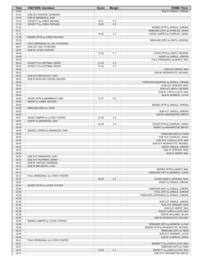| Time           | <b>VISITORS: Davidson</b>        | <b>Score</b> | <b>Margin</b>  | <b>HOME: Penn</b>                                         |
|----------------|----------------------------------|--------------|----------------|-----------------------------------------------------------|
| 07:43          |                                  |              |                | SUB IN: DINGLE, JORDAN                                    |
| 07:43          | SUB OUT: WATSON, DESMOND         |              |                |                                                           |
| 07:43          | SUB IN: MENNENGA, SAM            |              |                |                                                           |
| 07:43          | GOOD! FT by JONES, MICHAEL       | $16 - 21$    | V <sub>5</sub> |                                                           |
| 07:43          | GOOD! FT by JONES, MICHAEL       | $16 - 22$    | $V_6$          |                                                           |
| 07:24          |                                  |              |                | MISSED 3PTR by DINGLE, JORDAN                             |
| 07:21          |                                  |              |                | REBOUND (OFF) by CHARLES, JONAH                           |
| 07:18          |                                  | 18-22        | V <sub>4</sub> | GOOD! JUMPER by CHARLES, JONAH                            |
| 07:08          | MISSED 3PTR by JONES, MICHAEL    |              |                |                                                           |
| 07:03          |                                  |              |                | REBOUND (DEF) by SMITH, GEORGE                            |
| 06:57          | FOUL (PERSONAL) by LEE, HYUNJUNG |              |                |                                                           |
| 06:57          | SUB OUT: LEE, HYUNJUNG           |              |                |                                                           |
| 06:57          | SUB IN: LOYER, FOSTER            |              |                |                                                           |
| 06:48          |                                  | $21 - 22$    | V <sub>1</sub> | GOOD! 3PTR by SMITH, GEORGE                               |
| 06:48          |                                  |              |                | ASSIST by DINGLE, JORDAN                                  |
| 06:32          |                                  |              |                | FOUL (PERSONAL) by MARTZ, MAX                             |
| 06:32          | GOOD! FT by HUFFMAN, GRANT       | $21 - 23$    | V <sub>2</sub> |                                                           |
| 06:32          | GOOD! FT by HUFFMAN, GRANT       | $21 - 24$    | V <sub>3</sub> |                                                           |
| 06:32          |                                  |              |                | SUB OUT: MARTZ, MAX                                       |
| 06:32          |                                  |              |                | SUB IN: MOSHKOVITZ, MICHAEL                               |
| 06:32          | SUB OUT: BRAJKOVIC, LUKA         |              |                |                                                           |
| 06:32          | SUB IN: BOACHIE-YIADOM, NELSON   |              |                |                                                           |
| 06:22          |                                  |              |                | TURNOVER (BADPASS) by DINGLE, JORDAN                      |
| 06:22          |                                  |              |                | SUB OUT: SPINOSO, NICK                                    |
| 06:22          |                                  |              |                | SUB OUT: SMITH, GEORGE                                    |
| 06:22          |                                  |              |                | SUB IN: LORCA-LLOYD, MAX                                  |
| 06:22          |                                  |              |                | SUB IN: MONROE, LUCAS                                     |
| 05:55          | GOOD! 3PTR by MENNENGA, SAM      | 21-27        | $V_6$          |                                                           |
| 05:55          | ASSIST by JONES, MICHAEL         |              |                |                                                           |
| 05:29          |                                  |              |                | MISSED 3PTR by DINGLE, JORDAN                             |
| 05:26          | REBOUND (DEF) by TEAM            |              |                |                                                           |
| 05:26          |                                  |              |                | SUB OUT: DINGLE, JORDAN                                   |
| 05:26          |                                  |              |                | SUB IN: WASHINGTON, BRYCE                                 |
| 05:07          | GOOD! JUMPER by LOYER, FOSTER    | 21-29        | V8             |                                                           |
| 05:07          | ASSIST by MENNENGA, SAM          |              |                |                                                           |
| 04:49          |                                  | 24-29        | V <sub>5</sub> | GOOD! 3PTR by CHARLES, JONAH                              |
| 04:49          |                                  |              |                | ASSIST by WASHINGTON, BRYCE                               |
| 04:26          | MISSED JUMPER by MENNENGA, SAM   |              |                |                                                           |
| 04:24          |                                  |              |                | REBOUND (DEF) by TEAM<br>SUB OUT: CHARLES, JONAH          |
| 04:24<br>04:24 |                                  |              |                |                                                           |
| 04:24          |                                  |              |                | SUB OUT: LORCA-LLOYD, MAX<br>SUB OUT: MOSHKOVITZ, MICHAEL |
| 04:24          |                                  |              |                | SUB IN: DINGLE, JORDAN                                    |
| 04:24          |                                  |              |                | SUB IN: SPINOSO, NICK                                     |
| 04:24          |                                  |              |                | SUB IN: MARTZ, MAX                                        |
| 04:24          | SUB OUT: MENNENGA, SAM           |              |                |                                                           |
| 04:24          | SUB OUT: HUFFMAN, GRANT          |              |                |                                                           |
| 04:24          | SUB IN: WATSON, DESMOND          |              |                |                                                           |
| 04:24          | SUB IN: BRAJKOVIC, LUKA          |              |                |                                                           |
| 04:13          |                                  |              |                | MISSED 3PTR by MARTZ, MAX                                 |
| 04:12          |                                  |              |                | REBOUND (OFF) by MONROE, LUCAS                            |
| 04:12          | FOUL (PERSONAL) by LOYER, FOSTER |              |                |                                                           |
| 03:57          |                                  | 26-29        | V <sub>3</sub> | GOOD! DUNK by SPINOSO, NICK                               |
| 03:57          |                                  |              |                | ASSIST by DINGLE, JORDAN                                  |
| 03:44          | MISSED 3PTR by LOYER, FOSTER     |              |                |                                                           |
| 03:40          |                                  |              |                | REBOUND (DEF) by DINGLE, JORDAN                           |
| 03:36          |                                  |              |                | FOUL (OFF) by DINGLE, JORDAN                              |
| 03:36          |                                  |              |                | TURNOVER (OFFENSIVE) by DINGLE, JORDAN                    |
| 03:36          |                                  |              |                |                                                           |
| 03:36          |                                  |              |                | SUB OUT: DINGLE, JORDAN                                   |
| 03:36          |                                  |              |                | SUB OUT: SPINOSO, NICK                                    |
| 03:36          |                                  |              |                | SUB OUT: MARTZ, MAX                                       |
| 03:36          |                                  |              |                | SUB IN: LORCA-LLOYD, MAX                                  |
| 03:36          |                                  |              |                | SUB IN: WILLIAMS, JELANI                                  |
| 03:36          |                                  |              |                | SUB IN: MOSHKOVITZ, MICHAEL                               |
| 03:05          | MISSED JUMPER by LOYER, FOSTER   |              |                |                                                           |
| 02:59          |                                  |              |                | REBOUND (DEF) by MONROE, LUCAS                            |
| 02:46          |                                  |              |                | MISSED 3PTR by MOSHKOVITZ, MICHAEL                        |
| 02:44          |                                  |              |                | REBOUND (OFF) by TEAM                                     |
| 02:44          |                                  |              |                | SUB OUT: MONROE, LUCAS                                    |
| 02:44          |                                  |              |                | SUB IN: CHARLES, JONAH                                    |
| 02:41          | FOUL (PERSONAL) by LOYER, FOSTER |              |                |                                                           |
| 02:41          |                                  |              |                | MISSED FT by LORCA-LLOYD, MAX                             |
| 02:41          |                                  |              |                | REBOUND (OFF) by TEAM                                     |
| 02:41          |                                  | 27-29        | V <sub>2</sub> | GOOD! FT by LORCA-LLOYD, MAX                              |
| 02:41          |                                  |              |                | SUB OUT: WASHINGTON, BRYCE                                |
|                |                                  |              |                |                                                           |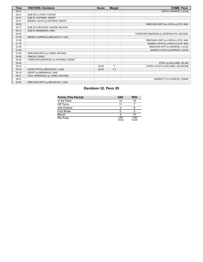| <b>Time</b> | <b>VISITORS: Davidson</b>            | <b>Score</b> | <b>Margin</b>  | <b>HOME: Penn</b>                         |
|-------------|--------------------------------------|--------------|----------------|-------------------------------------------|
| 02:41       |                                      |              |                | SUB IN: MONROE, LUCAS                     |
| 02:41       | SUB OUT: LOYER, FOSTER               |              |                |                                           |
| 02:41       | SUB IN: HUFFMAN, GRANT               |              |                |                                           |
| 02:31       | MISSED LAYUP by HUFFMAN, GRANT       |              |                |                                           |
| 02:28       |                                      |              |                | REBOUND (DEF) by LORCA-LLOYD, MAX         |
| 02:13       | SUB OUT: BOACHIE-YIADOM, NELSON      |              |                |                                           |
| 02:13       | SUB IN: MENNENGA, SAM                |              |                |                                           |
| 02:05       |                                      |              |                | TURNOVER (BADPASS) by MOSHKOVITZ, MICHAEL |
| 01:39       | MISSED JUMPER by BRAJKOVIC, LUKA     |              |                |                                           |
| 01:36       |                                      |              |                | REBOUND (DEF) by LORCA-LLOYD, MAX         |
| 01:10       |                                      |              |                | MISSED LAYUP by LORCA-LLOYD, MAX          |
| 01:05       |                                      |              |                | REBOUND (OFF) by MONROE, LUCAS            |
| 01:05       |                                      |              |                | MISSED LAYUP by MONROE, LUCAS             |
| 01:05       | REBOUND (DEF) by JONES, MICHAEL      |              |                |                                           |
| 00:58       | TIMEOUT 30SEC                        |              |                |                                           |
| 00:49       | TURNOVER (BADPASS) by HUFFMAN, GRANT |              |                |                                           |
| 00:49       |                                      |              |                | STEAL by WILLIAMS, JELANI                 |
| 00:42       |                                      | 29-29        | T              | GOOD! LAYUP by WILLIAMS, JELANI [FB]      |
| 00:19       | GOOD! 3PTR by BRAJKOVIC, LUKA        | 29-32        | V <sub>3</sub> |                                           |
| 00:19       | ASSIST by MENNENGA, SAM              |              |                |                                           |
| 00:01       | FOUL (PERSONAL) by JONES, MICHAEL    |              |                |                                           |
| 00:01       |                                      |              |                | MISSED FT by CHARLES, JONAH               |
| 00:00       | REBOUND (DEF) by BRAJKOVIC, LUKA     |              |                |                                           |

### **Davidson 32, Penn 29**

| <b>Points (This Period)</b> | <b>DAV</b>     | <b>PEN</b>     |
|-----------------------------|----------------|----------------|
| In the Paint                | 14             | 10             |
| Off Turns                   |                |                |
| 2nd Chance                  |                |                |
| Fast Break                  |                | 5              |
| Bench                       |                | 10             |
| Per Poss                    | 1.067<br>15/30 | 1.000<br>12/29 |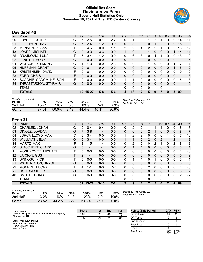### **Official Box Score Davidson vs Penn Second Half Statistics Only November 19, 2021 at The HTC Center - Conway**



### **Davidson 40**

| No. | Player                      | S | <b>Pts</b> | <b>FG</b> | 3FG     | <b>FT</b> | <b>OR</b> | <b>DR</b>    | TR.          | <b>PF</b> | $\mathsf{A}$ | TO       | <b>Blk</b> | <b>Stl</b>   | Min | $+/-$ |
|-----|-----------------------------|---|------------|-----------|---------|-----------|-----------|--------------|--------------|-----------|--------------|----------|------------|--------------|-----|-------|
| 00  | LOYER, FOSTER               | G | 6          | $2 - 5$   | $0 - 1$ | $2 - 2$   | 0         |              |              |           |              |          | 0          | 0            | 14  | 11    |
| 01  | LEE, HYUNJUNG               | G | 5          | $2 - 4$   | $1 - 2$ | $0 - 0$   | 0         | 3            | 3            | 0         |              | 2        | 0          | $\mathbf{0}$ | 15  | 10    |
| 03  | MENNENGA, SAM               | F | 9          | $4-6$     | $0 - 0$ | 1-1       | 2         | 2            | 4            | 2         | 2            |          | 0          | 0            | 16  | 12    |
| 13  | <b>JONES, MICHAEL</b>       | G | 9          | $3 - 3$   | $3 - 3$ | $0 - 0$   | 1         | 0            | $\mathbf{1}$ |           | $\mathbf{0}$ | 0        | 0          |              | 14  | 11    |
| 35  | <b>BRAJKOVIC, LUKA</b>      | F | 7          | $3 - 4$   | $1 - 2$ | $0 - 0$   | 0         | 6            | 6            | 0         | 4            |          | $\Omega$   | $\Omega$     | 15  | 8     |
| 02  | <b>LANIER, EMORY</b>        | G | $\Omega$   | $0 - 0$   | $0 - 0$ | $0 - 0$   | 0         | $\mathbf{0}$ | 0            | 0         | $\Omega$     | 0        | $\Omega$   | $\Omega$     |     | $-5$  |
| 04  | <b>WATSON, DESMOND</b>      | G | 4          | $1 - 3$   | $0 - 0$ | $2 - 3$   | $\Omega$  | 0            | 0            |           | 0            | 0        | 0          |              |     | 7     |
| 05  | HUFFMAN, GRANT              | G | $\Omega$   | $0 - 1$   | $0 - 0$ | $0 - 0$   | $\Omega$  | $\mathbf{0}$ | 0            | 0         | $\Omega$     | 0        | 0          |              | 5   | $-2$  |
| 12  | KRISTENSEN, DAVID           | F | 0          | $0 - 1$   | $0 - 0$ | $0 - 0$   | 0         | $\mathbf{0}$ | 0            | 0         | 0            | 0        | 0          | 0            | 0   | -2    |
| 23  | <b>FORD, CHRIS</b>          | F | 0          | $0 - 0$   | $0 - 0$ | $0 - 0$   | $\Omega$  | $\Omega$     | 0            | 0         | $\Omega$     | $\Omega$ | $\Omega$   | $\Omega$     | 1   | $-5$  |
| 32  | BOACHIE-YIADOM, NELSON      | F | 0          | $0 - 0$   | $0 - 0$ | $0 - 0$   | 1         |              | 2            | 0         | 0            | 0        | 0          | 0            | 6   | 5     |
| 34  | <b>THRASTARSON, STYRMIR</b> | G | $\Omega$   | $0 - 0$   | $0 - 0$ | $0 - 0$   | $\Omega$  | $\Omega$     | 0            | 0         | $\Omega$     | 0        | 0          | $\Omega$     | 1   | $-5$  |
|     | <b>TEAM</b>                 |   |            |           |         |           | 0         | $\mathbf{0}$ | 0            | 0         |              | 0        |            |              |     |       |
|     | <b>TOTALS</b>               |   | 40         | $15 - 27$ | $5 - 8$ | $5 - 6$   | 4         | 13           | 17           | 5         | 9            | 5        | 0          | 3            | 99  |       |

| <b>Shooting By Period</b><br>Period | FG        | FG%      | 3FG    | 3FG%  |           | FT%      | Deadball Rebounds: 0,0<br>Last FG Half: DAV - |
|-------------------------------------|-----------|----------|--------|-------|-----------|----------|-----------------------------------------------|
| 2nd Half                            | 15-27     | 56%      | $5-8$  | 63%   | $5-6$     | 83%      |                                               |
| Game                                | $27 - 54$ | $50.0\%$ | $8-18$ | 44.4% | $10 - 11$ | $90.9\%$ |                                               |

### **Penn 31**

| No. | Plaver                   | S | <b>Pts</b>    | <b>FG</b> | 3FG      | <b>FT</b> | <b>OR</b>    | <b>DR</b>    | TR           | PF       | A            | TO             | <b>Blk</b> | Stl           | Min          | $+/-$          |
|-----|--------------------------|---|---------------|-----------|----------|-----------|--------------|--------------|--------------|----------|--------------|----------------|------------|---------------|--------------|----------------|
| 02  | CHARLES, JONAH           | G | 0             | $0 - 4$   | $0 - 4$  | $0 - 0$   | 0            | 2            | 2            |          |              |                | 0          | 0             | 18           | $-7$           |
| 03  | DINGLE, JORDAN           | G |               | $3 - 8$   | $1 - 4$  | $0-0$     | $\Omega$     | $\Omega$     | 0            | 2        |              | 0              | 0          | $\mathbf{0}$  | 18           | $-7$           |
| 04  | LORCA-LLOYD, MAX         | С | 6             | $3 - 4$   | $0-0$    | $0-0$     | 1            | 2            | 3            | 0        | 0            | 0              |            | 0             | 17           | $-10$          |
| 05  | <b>WILLIAMS, JELANI</b>  | G | 6             | $3 - 4$   | $0 - 0$  | $0 - 0$   | 1            | 1            | 2            | 2        | $\mathbf{0}$ | 2              | 1          | $\mathcal{P}$ | 14           | -8             |
| 14  | MARTZ, MAX               | F | 3             | $1 - 5$   | $1 - 4$  | $0-0$     | 0            | 2            | 2            | 0        | 2            |                | 0          | 2             | 18           | -8             |
| 00  | <b>SLAJCHERT, CLARK</b>  | G | 3             | $1 - 1$   | $1 - 1$  | $0 - 0$   | $\mathbf{0}$ | $\mathbf{1}$ | 1            | 0        | $\mathbf{0}$ | $\mathbf{0}$   | $\Omega$   | $\mathbf{0}$  | 3            | 1              |
| 11  | MOSHKOVITZ, MICHAEL      | F | $\Omega$      | $0 - 0$   | $0 - 0$  | $0-0$     | 0            | 0            | 0            | 0        | 0            | 0              | 0          | 0             |              | $-3$           |
| 12  | LARSON, GUS              | F | $\mathcal{P}$ | $1 - 1$   | $0 - 0$  | $0 - 0$   | $\Omega$     | $\Omega$     | 0            | 0        | $\Omega$     | $\Omega$       | $\Omega$   | $\Omega$      | $\mathbf{0}$ | $\overline{2}$ |
| 13  | SPINOSO, NICK            | F | 0             | $0 - 0$   | $0 - 0$  | $0 - 0$   | $\Omega$     | 1            | 1            | 0        | 1            | 0              | 0          | $\Omega$      | 3            | 1              |
| 21  | <b>WASHINGTON, BRYCE</b> | G | $\Omega$      | $0 - 0$   | $0 - 0$  | $0 - 0$   | $\mathbf{0}$ | 0            | $\mathbf{0}$ | 0        | $\mathbf{0}$ | $\Omega$       | 0          | $\mathbf{0}$  | $\mathbf{0}$ | $\mathbf 0$    |
| 22  | MONROE, LUCAS            | F | 4             | 1-1       | $0 - 0$  | $2 - 2$   | 0            | $\Omega$     | 0            | 2        | 0            | $\Omega$       | 0          | $\Omega$      | 4            | -6             |
| 25  | HOLLAND III, ED          | G | $\Omega$      | $0 - 0$   | $0 - 0$  | $0 - 0$   | $\Omega$     | $\mathbf{0}$ | 0            | 0        | $\mathbf{0}$ | $\Omega$       | 0          | $\mathbf{0}$  | $\mathbf{0}$ | $\overline{2}$ |
| 40  | SMITH, GEORGE            | G | 0             | $0 - 0$   | $0 - 0$  | $0 - 0$   | $\Omega$     | $\Omega$     | $\mathbf{0}$ | $\Omega$ | $\Omega$     | $\Omega$       | 0          | $\Omega$      | 2            | $-2$           |
|     | TEAM                     |   |               |           |          |           | 0            | 0            | 0            | 0        |              | 0              |            |               |              |                |
|     | <b>TOTALS</b>            |   | 31            | $13 - 28$ | $3 - 13$ | $2 - 2$   | $\mathbf{2}$ | 9            | 11           |          | 5            | $\overline{4}$ | 2          | 4             | 99           |                |
|     |                          |   |               |           |          |           |              |              |              |          |              |                |            |               |              |                |

| <b>Shooting By Period</b><br>Period | FG        | FG%   | 3FG      | 3FG%  |         | FT%   | Deadball Rebounds: 2,0<br>Last FG Half: PEN - |
|-------------------------------------|-----------|-------|----------|-------|---------|-------|-----------------------------------------------|
| 2nd Half                            | $13 - 28$ | 46%   | $3-13$   | 23%   | $2 - 2$ | 100%  |                                               |
| Game                                | $23 - 52$ | 44.2% | $8 - 27$ | 29.6% | $6-10$  | 60.0% |                                               |

| Game Notes:                                                          | <b>Score</b> | 1st | 2 <sub>nd</sub> | <b>TOT</b> | <b>Points (This Period)</b> | <b>DAV</b>    | <b>PEN</b>     |
|----------------------------------------------------------------------|--------------|-----|-----------------|------------|-----------------------------|---------------|----------------|
| Officials: Greg Nixon, Bret Smith, Donnie Eppley<br>Attendance: 1131 | <b>DAV</b>   | 32  | 40              | 72         | In the Paint                | 16            | 20             |
|                                                                      | <b>PEN</b>   | 29  | 31              | 60         | Off Turns                   |               |                |
| Start Time: 02:31 PM ET                                              |              |     |                 |            | 2nd Chance                  |               |                |
| End Time: 04:23 PM ET<br>Game Duration: 1:52                         |              |     |                 |            | <b>Fast Break</b>           |               |                |
| Neutral Court:                                                       |              |     |                 |            | Bench                       |               |                |
|                                                                      |              |     |                 |            | Per Poss                    | .333<br>18/30 | 1.000<br>14/31 |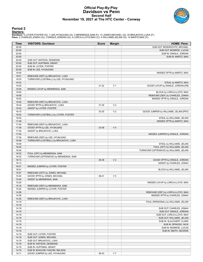### **Official Play-By-Play Davidson vs Penn Second Half November 19, 2021 at The HTC Center - Conway**



### **Period 2**

#### **Starters:**

Davidson: 0 LOYER,FOSTER (G); 1 LEE,HYUNJUNG (G); 3 MENNENGA,SAM (F); 13 JONES,MICHAEL (G); 35 BRAJKOVIC,LUKA (F);<br>Penn: 2 CHARLES,JONAH (G); 3 DINGLE,JORDAN (G); 4 LORCA-LLOYD,MAX (C); 5 WILLIAMS,JELANI (G); 14 MARTZ,MAX

| Time           | <b>VISITORS: Davidson</b>                         | <b>Score</b> | <b>Margin</b>  | <b>HOME: Penn</b>                        |
|----------------|---------------------------------------------------|--------------|----------------|------------------------------------------|
| 20:00          |                                                   |              |                | SUB OUT: MOSHKOVITZ, MICHAEL             |
| 20:00          |                                                   |              |                | SUB OUT: MONROE, LUCAS                   |
| 20:00          |                                                   |              |                | SUB IN: DINGLE, JORDAN                   |
| 20:00          |                                                   |              |                | SUB IN: MARTZ, MAX                       |
| 20:00          | SUB OUT: WATSON, DESMOND                          |              |                |                                          |
| 20:00          | SUB OUT: HUFFMAN, GRANT                           |              |                |                                          |
| 20:00          | SUB IN: LOYER, FOSTER                             |              |                |                                          |
| 20:00          | SUB IN: LEE, HYUNJUNG                             |              |                |                                          |
| 19:55          |                                                   |              |                | MISSED 3PTR by MARTZ, MAX                |
| 19:51          | REBOUND (DEF) by BRAJKOVIC, LUKA                  |              |                |                                          |
| 19:33          | TURNOVER (LOSTBALL) by LEE, HYUNJUNG              |              |                |                                          |
| 19:33          |                                                   |              |                | STEAL by MARTZ, MAX                      |
| 19:25          |                                                   | 31-32        | V <sub>1</sub> | GOOD! LAYUP by DINGLE, JORDAN [FB]       |
| 19:00          | MISSED LAYUP by MENNENGA, SAM                     |              |                |                                          |
| 19:00          |                                                   |              |                | BLOCK by LORCA-LLOYD, MAX                |
| 18:56          |                                                   |              |                | REBOUND (DEF) by CHARLES, JONAH          |
| 18:53          |                                                   |              |                | MISSED 3PTR by DINGLE, JORDAN            |
| 18:49          | REBOUND (DEF) by BRAJKOVIC, LUKA                  |              |                |                                          |
| 18:42          | GOOD! 3PTR by BRAJKOVIC, LUKA                     | 31-35        | V <sub>4</sub> |                                          |
| 18:42          | ASSIST by LOYER, FOSTER                           |              |                |                                          |
| 18:15          |                                                   | 33-35        | V <sub>2</sub> | GOOD! JUMPER by WILLIAMS, JELANI [PNT]   |
| 18:02          | TURNOVER (LOSTBALL) by LOYER, FOSTER              |              |                |                                          |
| 18:02          |                                                   |              |                | STEAL by WILLIAMS, JELANI                |
| 17:48          |                                                   |              |                | MISSED 3PTR by MARTZ, MAX                |
| 17:44          | REBOUND (DEF) by BRAJKOVIC, LUKA                  |              |                |                                          |
| 17:36          | GOOD! 3PTR by LEE, HYUNJUNG                       | 33-38        | V <sub>5</sub> |                                          |
| 17:36          | ASSIST by BRAJKOVIC, LUKA                         |              |                |                                          |
| 17:04          |                                                   |              |                | MISSED JUMPER by DINGLE, JORDAN          |
| 17:00          | REBOUND (DEF) by LEE, HYUNJUNG                    |              |                |                                          |
| 16:48          | TURNOVER (LOSTBALL) by BRAJKOVIC, LUKA            |              |                |                                          |
| 16:48          |                                                   |              |                | STEAL by WILLIAMS, JELANI                |
| 16:45          |                                                   |              |                | FOUL (OFF) by WILLIAMS, JELANI           |
| 16:45          |                                                   |              |                | TURNOVER (OFFENSIVE) by WILLIAMS, JELANI |
| 16:32          | FOUL (OFF) by MENNENGA, SAM                       |              |                |                                          |
| 16:32          | TURNOVER (OFFENSIVE) by MENNENGA, SAM             |              |                |                                          |
| 16:13          |                                                   | 36-38        | V <sub>2</sub> | GOOD! 3PTR by DINGLE, JORDAN             |
| 16:13          |                                                   |              |                | ASSIST by CHARLES, JONAH                 |
| 16:01          | MISSED JUMPER by LOYER, FOSTER                    |              |                |                                          |
| 16:01          |                                                   |              |                | BLOCK by WILLIAMS, JELANI                |
| 15:57          | REBOUND (OFF) by JONES, MICHAEL                   |              |                |                                          |
| 15:40          | GOOD! 3PTR by JONES, MICHAEL                      | 36-41        | V <sub>5</sub> |                                          |
| 15:40          | ASSIST by MENNENGA, SAM                           |              |                |                                          |
| 15:20          |                                                   |              |                | MISSED LAYUP by LORCA-LLOYD, MAX         |
| 15:16          | REBOUND (DEF) by MENNENGA, SAM                    |              |                |                                          |
| 15:02          | MISSED JUMPER by LOYER, FOSTER                    |              |                |                                          |
| 14:58          |                                                   |              |                | REBOUND (DEF) by LORCA-LLOYD, MAX        |
| 14:36          |                                                   |              |                | MISSED 3PTR by CHARLES, JONAH            |
| 14:32          | REBOUND (DEF) by BRAJKOVIC, LUKA                  |              |                |                                          |
| 14:19          |                                                   |              |                | FOUL (PERSONAL) by WILLIAMS, JELANI      |
| 14:19          |                                                   |              |                |                                          |
| 14:19          |                                                   |              |                | SUB OUT: CHARLES, JONAH                  |
| 14:19          |                                                   |              |                | SUB OUT: DINGLE, JORDAN                  |
| 14:19          |                                                   |              |                | SUB OUT: LORCA-LLOYD, MAX                |
| 14:19          |                                                   |              |                | SUB OUT: WILLIAMS, JELANI                |
| 14:19          |                                                   |              |                | SUB IN: SLAJCHERT, CLARK                 |
| 14:19          |                                                   |              |                | SUB IN: SPINOSO, NICK                    |
| 14:19          |                                                   |              |                | SUB IN: MONROE, LUCAS                    |
| 14:19          |                                                   |              |                | SUB IN: SMITH, GEORGE                    |
| 14:19          | SUB OUT: LOYER, FOSTER                            |              |                |                                          |
| 14:19<br>14:19 | SUB OUT: JONES, MICHAEL                           |              |                |                                          |
| 14:19          | SUB OUT: BRAJKOVIC, LUKA                          |              |                |                                          |
| 14:19          | SUB IN: WATSON, DESMOND<br>SUB IN: HUFFMAN, GRANT |              |                |                                          |
| 14:19          | SUB IN: BOACHIE-YIADOM, NELSON                    |              |                |                                          |
| 14:11          | GOOD! JUMPER by LEE, HYUNJUNG                     | 36-43        | V <sub>7</sub> |                                          |
|                |                                                   |              |                |                                          |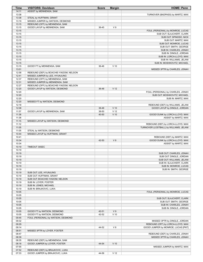| Time           | <b>VISITORS: Davidson</b>                                   | <b>Score</b> | <b>Margin</b>   | <b>HOME: Penn</b>                                                            |
|----------------|-------------------------------------------------------------|--------------|-----------------|------------------------------------------------------------------------------|
| 14:11          | ASSIST by MENNENGA, SAM                                     |              |                 |                                                                              |
| 13:38          |                                                             |              |                 | TURNOVER (BADPASS) by MARTZ, MAX                                             |
| 13:38<br>13:19 | STEAL by HUFFMAN, GRANT<br>MISSED JUMPER by WATSON, DESMOND |              |                 |                                                                              |
| 13:15          | REBOUND (OFF) by MENNENGA, SAM                              |              |                 |                                                                              |
| 13:15          | GOOD! LAYUP by MENNENGA, SAM                                | 36-45        | V <sub>9</sub>  |                                                                              |
| 13:15          |                                                             |              |                 | FOUL (PERSONAL) by MONROE, LUCAS                                             |
| 13:15          |                                                             |              |                 | SUB OUT: SLAJCHERT, CLARK                                                    |
| 13:15          |                                                             |              |                 | SUB OUT: SPINOSO, NICK                                                       |
| 13:15<br>13:15 |                                                             |              |                 | SUB OUT: MARTZ, MAX<br>SUB OUT: MONROE, LUCAS                                |
| 13:15          |                                                             |              |                 | SUB OUT: SMITH, GEORGE                                                       |
| 13:15          |                                                             |              |                 | SUB IN: CHARLES, JONAH                                                       |
| 13:15          |                                                             |              |                 | SUB IN: DINGLE, JORDAN                                                       |
| 13:15          |                                                             |              |                 | SUB IN: LORCA-LLOYD, MAX                                                     |
| 13:15          |                                                             |              |                 | SUB IN: WILLIAMS, JELANI                                                     |
| 13:15          |                                                             |              |                 | SUB IN: MOSHKOVITZ, MICHAEL                                                  |
| 13:15<br>13:01 | GOOD! FT by MENNENGA, SAM                                   | 36-46        | $V$ 10          |                                                                              |
| 12:58          | REBOUND (DEF) by BOACHIE-YIADOM, NELSON                     |              |                 | MISSED 3PTR by CHARLES, JONAH                                                |
| 12:41          | MISSED JUMPER by LEE, HYUNJUNG                              |              |                 |                                                                              |
| 12:37          | REBOUND (OFF) by MENNENGA, SAM                              |              |                 |                                                                              |
| 12:31          | MISSED JUMPER by MENNENGA, SAM                              |              |                 |                                                                              |
| 12:27          | REBOUND (OFF) by BOACHIE-YIADOM, NELSON                     |              |                 |                                                                              |
| 12:20          | GOOD! LAYUP by WATSON, DESMOND                              | 36-48        | V <sub>12</sub> |                                                                              |
| 12:20          |                                                             |              |                 | FOUL (PERSONAL) by CHARLES, JONAH                                            |
| 12:20<br>12:20 |                                                             |              |                 | SUB OUT: MOSHKOVITZ, MICHAEL                                                 |
| 12:20          | MISSED FT by WATSON, DESMOND                                |              |                 | SUB IN: MARTZ, MAX                                                           |
| 12:18          |                                                             |              |                 | REBOUND (DEF) by WILLIAMS, JELANI                                            |
| 12:08          |                                                             | 38-48        | $V$ 10          | GOOD! LAYUP by DINGLE, JORDAN                                                |
| 11:57          | GOOD! LAYUP by MENNENGA, SAM                                | 38-50        | V <sub>12</sub> |                                                                              |
| 11:38          |                                                             | 40-50        | $V$ 10          | GOOD! DUNK by LORCA-LLOYD, MAX                                               |
| 11:38          |                                                             |              |                 | ASSIST by MARTZ, MAX                                                         |
| 11:15          | MISSED LAYUP by WATSON, DESMOND                             |              |                 |                                                                              |
| 11:12<br>11:05 |                                                             |              |                 | REBOUND (DEF) by LORCA-LLOYD, MAX<br>TURNOVER (LOSTBALL) by WILLIAMS, JELANI |
| 11:05          | STEAL by WATSON, DESMOND                                    |              |                 |                                                                              |
| 10:44          | MISSED LAYUP by HUFFMAN, GRANT                              |              |                 |                                                                              |
| 10:41          |                                                             |              |                 | REBOUND (DEF) by MARTZ, MAX                                                  |
| 10:34          |                                                             | 42-50        | V8              | GOOD! DUNK by LORCA-LLOYD, MAX                                               |
| 10:34          |                                                             |              |                 | ASSIST by MARTZ, MAX                                                         |
| 10:19          | TIMEOUT 30SEC                                               |              |                 |                                                                              |
| 10:19<br>10:19 |                                                             |              |                 | SUB OUT: CHARLES, JONAH                                                      |
| 10:19          |                                                             |              |                 | SUB OUT: DINGLE, JORDAN                                                      |
| 10:19          |                                                             |              |                 | SUB OUT: WILLIAMS, JELANI                                                    |
| 10:19          |                                                             |              |                 | SUB IN: SLAJCHERT, CLARK                                                     |
| 10:19          |                                                             |              |                 | SUB IN: MONROE, LUCAS                                                        |
| 10:19          |                                                             |              |                 | SUB IN: SMITH, GEORGE                                                        |
| 10:19          | SUB OUT: LEE, HYUNJUNG                                      |              |                 |                                                                              |
| 10:19<br>10:19 | SUB OUT: HUFFMAN, GRANT<br>SUB OUT: BOACHIE-YIADOM, NELSON  |              |                 |                                                                              |
| 10:19          | SUB IN: LOYER, FOSTER                                       |              |                 |                                                                              |
| 10:19          | SUB IN: JONES, MICHAEL                                      |              |                 |                                                                              |
| 10:19          | SUB IN: BRAJKOVIC, LUKA                                     |              |                 |                                                                              |
| 10:05          |                                                             |              |                 | FOUL (PERSONAL) by MONROE, LUCAS                                             |
| 10:05          |                                                             |              |                 |                                                                              |
| 10:05          |                                                             |              |                 | SUB OUT: SLAJCHERT, CLARK                                                    |
| 10:05          |                                                             |              |                 | SUB OUT: SMITH, GEORGE                                                       |
| 10:05<br>10:05 |                                                             |              |                 | SUB IN: CHARLES, JONAH<br>SUB IN: DINGLE, JORDAN                             |
| 10:05          | GOOD! FT by WATSON, DESMOND                                 | 42-51        | V <sub>9</sub>  |                                                                              |
| 10:05          | GOOD! FT by WATSON, DESMOND                                 | 42-52        | $V$ 10          |                                                                              |
| 09:45          | FOUL (PERSONAL) by WATSON, DESMOND                          |              |                 |                                                                              |
| 09:32          |                                                             |              |                 | MISSED 3PTR by DINGLE, JORDAN                                                |
| 09:29          |                                                             |              |                 | REBOUND (OFF) by LORCA-LLOYD, MAX                                            |
| 09:14          |                                                             | 44-52        | V8              | GOOD! JUMPER by MONROE, LUCAS [PNT]                                          |
| 08:51          | MISSED 3PTR by LOYER, FOSTER                                |              |                 |                                                                              |
| 08:47          |                                                             |              |                 | REBOUND (DEF) by CHARLES, JONAH                                              |
| 08:39<br>08:35 | REBOUND (DEF) by MENNENGA, SAM                              |              |                 | MISSED 3PTR by CHARLES, JONAH                                                |
| 08:18          | GOOD! JUMPER by LOYER, FOSTER                               | 44-54        | $V$ 10          |                                                                              |
| 07:55          |                                                             |              |                 | MISSED JUMPER by MARTZ, MAX                                                  |
| 07:52          | REBOUND (DEF) by BRAJKOVIC, LUKA                            |              |                 |                                                                              |
| 07:33          | GOOD! JUMPER by BRAJKOVIC, LUKA                             | 44-56        | V <sub>12</sub> |                                                                              |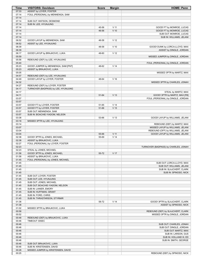| Time           | <b>VISITORS: Davidson</b>                         | <b>Score</b> | <b>Margin</b>   | <b>HOME: Penn</b>                                                    |
|----------------|---------------------------------------------------|--------------|-----------------|----------------------------------------------------------------------|
| 07:33          | ASSIST by LOYER, FOSTER                           |              |                 |                                                                      |
| 07:14          | FOUL (PERSONAL) by MENNENGA, SAM                  |              |                 |                                                                      |
| 07:14<br>07:14 |                                                   |              |                 |                                                                      |
| 07:14          | SUB OUT: WATSON, DESMOND<br>SUB IN: LEE, HYUNJUNG |              |                 |                                                                      |
| 07:14          |                                                   | 45-56        | $V$ 11          | GOOD! FT by MONROE, LUCAS                                            |
| 07:14          |                                                   | 46-56        | $V$ 10          | GOOD! FT by MONROE, LUCAS                                            |
| 07:14          |                                                   |              |                 | SUB OUT: MONROE, LUCAS                                               |
| 07:14          |                                                   |              |                 | SUB IN: WILLIAMS, JELANI                                             |
| 06:52          | GOOD! LAYUP by MENNENGA, SAM                      | 46-58        | V <sub>12</sub> |                                                                      |
| 06:52          | ASSIST by LEE, HYUNJUNG                           |              |                 |                                                                      |
| 06:39          |                                                   | 48-58        | $V$ 10          | GOOD! DUNK by LORCA-LLOYD, MAX                                       |
| 06:39          |                                                   |              |                 | ASSIST by DINGLE, JORDAN                                             |
| 06:17          | GOOD! LAYUP by BRAJKOVIC, LUKA                    | 48-60        | V <sub>12</sub> |                                                                      |
| 05:59<br>05:56 | REBOUND (DEF) by LEE, HYUNJUNG                    |              |                 | MISSED JUMPER by DINGLE, JORDAN                                      |
| 05:40          |                                                   |              |                 | FOUL (PERSONAL) by DINGLE, JORDAN                                    |
| 05:23          | GOOD! JUMPER by MENNENGA, SAM [PNT]               | 48-62        | V <sub>14</sub> |                                                                      |
| 05:23          | ASSIST by BRAJKOVIC, LUKA                         |              |                 |                                                                      |
| 05:05          |                                                   |              |                 | MISSED 3PTR by MARTZ, MAX                                            |
| 04:57          | REBOUND (DEF) by LEE, HYUNJUNG                    |              |                 |                                                                      |
| 04:49          | GOOD! LAYUP by LOYER, FOSTER                      | 48-64        | V <sub>16</sub> |                                                                      |
| 04:32          |                                                   |              |                 | MISSED 3PTR by CHARLES, JONAH                                        |
| 04:27          | REBOUND (DEF) by LOYER, FOSTER                    |              |                 |                                                                      |
| 04:17          | TURNOVER (BADPASS) by LEE, HYUNJUNG               |              |                 |                                                                      |
| 04:17          |                                                   |              | V <sub>13</sub> | STEAL by MARTZ, MAX                                                  |
| 04:11<br>03:57 |                                                   | 51-64        |                 | GOOD! 3PTR by MARTZ, MAX [FB]<br>FOUL (PERSONAL) by DINGLE, JORDAN   |
| 03:57          |                                                   |              |                 |                                                                      |
| 03:57          | GOOD! FT by LOYER, FOSTER                         | 51-65        | V <sub>14</sub> |                                                                      |
| 03:57          | GOOD! FT by LOYER, FOSTER                         | 51-66        | V <sub>15</sub> |                                                                      |
| 03:57          | SUB OUT: MENNENGA, SAM                            |              |                 |                                                                      |
| 03:57          | SUB IN: BOACHIE-YIADOM, NELSON                    |              |                 |                                                                      |
| 03:38          |                                                   | 53-66        | V <sub>13</sub> | GOOD! LAYUP by WILLIAMS, JELANI                                      |
| 03:18          | MISSED 3PTR by LEE, HYUNJUNG                      |              |                 |                                                                      |
| 03:14          |                                                   |              |                 | REBOUND (DEF) by MARTZ, MAX                                          |
| 03:07          |                                                   |              |                 | MISSED LAYUP by WILLIAMS, JELANI                                     |
| 03:04<br>03:04 |                                                   | 55-66        | $V$ 11          | REBOUND (OFF) by WILLIAMS, JELANI<br>GOOD! LAYUP by WILLIAMS, JELANI |
| 02:38          | GOOD! 3PTR by JONES, MICHAEL                      | 55-69        | V <sub>14</sub> |                                                                      |
| 02:38          | ASSIST by BRAJKOVIC, LUKA                         |              |                 |                                                                      |
| 02:27          | FOUL (PERSONAL) by LOYER, FOSTER                  |              |                 |                                                                      |
| 02:23          |                                                   |              |                 | TURNOVER (BADPASS) by CHARLES, JONAH                                 |
| 02:23          | STEAL by JONES, MICHAEL                           |              |                 |                                                                      |
| 01:58          | GOOD! 3PTR by JONES, MICHAEL                      | 55-72        | V 17            |                                                                      |
| 01:58          | ASSIST by BRAJKOVIC, LUKA                         |              |                 |                                                                      |
| 01:45          | FOUL (PERSONAL) by JONES, MICHAEL                 |              |                 |                                                                      |
| 01:45<br>01:45 |                                                   |              |                 | SUB OUT: LORCA-LLOYD, MAX<br>SUB OUT: WILLIAMS, JELANI               |
| 01:45          |                                                   |              |                 | SUB IN: SLAJCHERT, CLARK                                             |
| 01:45          |                                                   |              |                 | SUB IN: SPINOSO, NICK                                                |
| 01:45          | SUB OUT: LOYER, FOSTER                            |              |                 |                                                                      |
| 01:45          | SUB OUT: LEE, HYUNJUNG                            |              |                 |                                                                      |
| 01:45          | SUB OUT: JONES, MICHAEL                           |              |                 |                                                                      |
| 01:45          | SUB OUT: BOACHIE-YIADOM, NELSON                   |              |                 |                                                                      |
| 01:45          | SUB IN: LANIER, EMORY                             |              |                 |                                                                      |
| 01:45          | SUB IN: HUFFMAN, GRANT                            |              |                 |                                                                      |
| 01:45          | SUB IN: FORD, CHRIS                               |              |                 |                                                                      |
| 01:45<br>01:38 | SUB IN: THRASTARSON, STYRMIR                      | 58-72        | V <sub>14</sub> | GOOD! 3PTR by SLAJCHERT, CLARK                                       |
| 01:38          |                                                   |              |                 | ASSIST by SPINOSO, NICK                                              |
| 01:02          | MISSED 3PTR by BRAJKOVIC, LUKA                    |              |                 |                                                                      |
| 00:58          |                                                   |              |                 | REBOUND (DEF) by SLAJCHERT, CLARK                                    |
| 00:52          |                                                   |              |                 | MISSED 3PTR by DINGLE, JORDAN                                        |
| 00:48          | REBOUND (DEF) by BRAJKOVIC, LUKA                  |              |                 |                                                                      |
| 00:46          | TIMEOUT 30SEC                                     |              |                 |                                                                      |
| 00:46          |                                                   |              |                 | SUB OUT: CHARLES, JONAH                                              |
| 00:46          |                                                   |              |                 | SUB OUT: DINGLE, JORDAN                                              |
| 00:46          |                                                   |              |                 | SUB OUT: MARTZ, MAX                                                  |
| 00:46<br>00:46 |                                                   |              |                 | SUB IN: LARSON, GUS<br>SUB IN: HOLLAND III, ED                       |
| 00:46          |                                                   |              |                 | SUB IN: SMITH, GEORGE                                                |
| 00:46          | SUB OUT: BRAJKOVIC, LUKA                          |              |                 |                                                                      |
| 00:46          | SUB IN: KRISTENSEN, DAVID                         |              |                 |                                                                      |
| 00:28          | MISSED JUMPER by KRISTENSEN, DAVID                |              |                 |                                                                      |
| 00:25          |                                                   |              |                 | REBOUND (DEF) by SPINOSO, NICK                                       |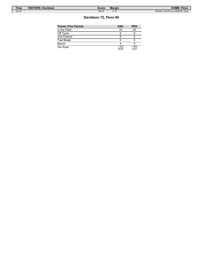| <b>Time</b> | <b>VISITORS: Davidson</b> | Score | <b>Margin</b>                    | <b>HOME: Penn</b>          |
|-------------|---------------------------|-------|----------------------------------|----------------------------|
| 00:19       |                           | 60-72 | 1/12<br>$\overline{\phantom{a}}$ | GOOD! LAYUP by LARSON, GUS |

ſ

### **Davidson 72, Penn 60**

| Points (This Period) | <b>DAV</b>     | <b>PEN</b>     |
|----------------------|----------------|----------------|
| In the Paint         | 16             | 20             |
| Off Turns            | 6              |                |
| 2nd Chance           |                |                |
| Fast Break           |                | 5              |
| Bench                |                |                |
| Per Poss             | 1.333<br>18/30 | 1.000<br>14/31 |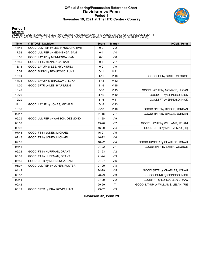### **Official Scoring/Possession Reference Chart Davidson vs Penn Period 1 November 19, 2021 at The HTC Center - Conway**



**Period 1**

#### **Starters:**

Davidson: 0 LOYER,FOSTER (G); 1 LEE,HYUNJUNG (G); 3 MENNENGA,SAM (F); 13 JONES,MICHAEL (G); 35 BRAJKOVIC,LUKA (F);<br>Penn: 2 CHARLES,JONAH (G); 3 DINGLE,JORDAN (G); 4 LORCA-LLOYD,MAX (C); 5 WILLIAMS,JELANI (G); 14 MARTZ,MAX

| <b>Time</b> | <b>VISITORS: Davidson</b>           | <b>Score</b> | <b>Margin</b>   | <b>HOME: Penn</b>                    |
|-------------|-------------------------------------|--------------|-----------------|--------------------------------------|
| 18:46       | GOOD! JUMPER by LEE, HYUNJUNG [PNT] | $0 - 2$      | V <sub>2</sub>  |                                      |
| 17:53       | GOOD! JUMPER by MENNENGA, SAM       | $0 - 4$      | V <sub>4</sub>  |                                      |
| 16:55       | GOOD! LAYUP by MENNENGA, SAM        | $0-6$        | $V_6$           |                                      |
| 16:55       | GOOD! FT by MENNENGA, SAM           | $0 - 7$      | V <sub>7</sub>  |                                      |
| 16:15       | GOOD! LAYUP by LEE, HYUNJUNG        | $0-9$        | V <sub>9</sub>  |                                      |
| 15:54       | GOOD! DUNK by BRAJKOVIC, LUKA       | $0 - 11$     | V <sub>11</sub> |                                      |
| 15:01       |                                     | $1 - 11$     | $V$ 10          | GOOD! FT by SMITH, GEORGE            |
| 14:34       | GOOD! LAYUP by BRAJKOVIC, LUKA      | $1 - 13$     | V <sub>12</sub> |                                      |
| 14:00       | GOOD! 3PTR by LEE, HYUNJUNG         | $1 - 16$     | V <sub>15</sub> |                                      |
| 13:42       |                                     | $3 - 16$     | V <sub>13</sub> | GOOD! LAYUP by MONROE, LUCAS         |
| 12:20       |                                     | $4 - 16$     | V <sub>12</sub> | GOOD! FT by SPINOSO, NICK            |
| 12:20       |                                     | $5 - 16$     | V <sub>11</sub> | GOOD! FT by SPINOSO, NICK            |
| 11:11       | GOOD! LAYUP by JONES, MICHAEL       | $5 - 18$     | V <sub>13</sub> |                                      |
| 10:30       |                                     | $8 - 18$     | $V$ 10          | GOOD! 3PTR by DINGLE, JORDAN         |
| 09:47       |                                     | $11 - 18$    | V <sub>7</sub>  | GOOD! 3PTR by DINGLE, JORDAN         |
| 09:25       | GOOD! JUMPER by WATSON, DESMOND     | $11 - 20$    | V <sub>9</sub>  |                                      |
| 08:53       |                                     | 13-20        | V <sub>7</sub>  | GOOD! LAYUP by WILLIAMS, JELANI      |
| 08:02       |                                     | 16-20        | V <sub>4</sub>  | GOOD! 3PTR by MARTZ, MAX [FB]        |
| 07:43       | GOOD! FT by JONES, MICHAEL          | 16-21        | V <sub>5</sub>  |                                      |
| 07:43       | GOOD! FT by JONES, MICHAEL          | 16-22        | $V_6$           |                                      |
| 07:18       |                                     | 18-22        | V <sub>4</sub>  | GOOD! JUMPER by CHARLES, JONAH       |
| 06:48       |                                     | 21-22        | V <sub>1</sub>  | GOOD! 3PTR by SMITH, GEORGE          |
| 06:32       | GOOD! FT by HUFFMAN, GRANT          | 21-23        | V <sub>2</sub>  |                                      |
| 06:32       | GOOD! FT by HUFFMAN, GRANT          | 21-24        | V <sub>3</sub>  |                                      |
| 05:55       | GOOD! 3PTR by MENNENGA, SAM         | 21-27        | $V_6$           |                                      |
| 05:07       | GOOD! JUMPER by LOYER, FOSTER       | 21-29        | V 8             |                                      |
| 04:49       |                                     | 24-29        | V <sub>5</sub>  | GOOD! 3PTR by CHARLES, JONAH         |
| 03:57       |                                     | 26-29        | $V_3$           | GOOD! DUNK by SPINOSO, NICK          |
| 02:41       |                                     | 27-29        | V <sub>2</sub>  | GOOD! FT by LORCA-LLOYD, MAX         |
| 00:42       |                                     | 29-29        | T               | GOOD! LAYUP by WILLIAMS, JELANI [FB] |
| 00:19       | GOOD! 3PTR by BRAJKOVIC, LUKA       | 29-32        | $V_3$           |                                      |

**Davidson 32, Penn 29**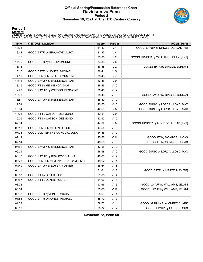### **Official Scoring/Possession Reference Chart Davidson vs Penn Period 2 November 19, 2021 at The HTC Center - Conway**



### **Period 2**

#### **Starters:**

Davidson: 0 LOYER,FOSTER (G); 1 LEE,HYUNJUNG (G); 3 MENNENGA,SAM (F); 13 JONES,MICHAEL (G); 35 BRAJKOVIC,LUKA (F);<br>Penn: 2 CHARLES,JONAH (G); 3 DINGLE,JORDAN (G); 4 LORCA-LLOYD,MAX (C); 5 WILLIAMS,JELANI (G); 14 MARTZ,MAX

| Time  | <b>VISITORS: Davidson</b>           | <b>Score</b> | <b>Margin</b>   | <b>HOME: Penn</b>                      |
|-------|-------------------------------------|--------------|-----------------|----------------------------------------|
| 19:25 |                                     | 31-32        | V <sub>1</sub>  | GOOD! LAYUP by DINGLE, JORDAN [FB]     |
| 18:42 | GOOD! 3PTR by BRAJKOVIC, LUKA       | 31-35        | V <sub>4</sub>  |                                        |
| 18:15 |                                     | 33-35        | V <sub>2</sub>  | GOOD! JUMPER by WILLIAMS, JELANI [PNT] |
| 17:36 | GOOD! 3PTR by LEE, HYUNJUNG         | 33-38        | V <sub>5</sub>  |                                        |
| 16:13 |                                     | 36-38        | V <sub>2</sub>  | GOOD! 3PTR by DINGLE, JORDAN           |
| 15:40 | GOOD! 3PTR by JONES, MICHAEL        | 36-41        | V <sub>5</sub>  |                                        |
| 14:11 | GOOD! JUMPER by LEE, HYUNJUNG       | 36-43        | V <sub>7</sub>  |                                        |
| 13:15 | GOOD! LAYUP by MENNENGA, SAM        | 36-45        | V <sub>9</sub>  |                                        |
| 13:15 | GOOD! FT by MENNENGA, SAM           | 36-46        | $V$ 10          |                                        |
| 12:20 | GOOD! LAYUP by WATSON, DESMOND      | 36-48        | V <sub>12</sub> |                                        |
| 12:08 |                                     | 38-48        | $V$ 10          | GOOD! LAYUP by DINGLE, JORDAN          |
| 11:57 | GOOD! LAYUP by MENNENGA, SAM        | 38-50        | V <sub>12</sub> |                                        |
| 11:38 |                                     | 40-50        | $V$ 10          | GOOD! DUNK by LORCA-LLOYD, MAX         |
| 10:34 |                                     | 42-50        | V8              | GOOD! DUNK by LORCA-LLOYD, MAX         |
| 10:05 | GOOD! FT by WATSON, DESMOND         | 42-51        | V <sub>9</sub>  |                                        |
| 10:05 | GOOD! FT by WATSON, DESMOND         | 42-52        | $V$ 10          |                                        |
| 09:14 |                                     | 44-52        | V8              | GOOD! JUMPER by MONROE, LUCAS [PNT]    |
| 08:18 | GOOD! JUMPER by LOYER, FOSTER       | 44-54        | $V$ 10          |                                        |
| 07:33 | GOOD! JUMPER by BRAJKOVIC, LUKA     | 44-56        | V <sub>12</sub> |                                        |
| 07:14 |                                     | 45-56        | V <sub>11</sub> | GOOD! FT by MONROE, LUCAS              |
| 07:14 |                                     | 46-56        | $V$ 10          | GOOD! FT by MONROE, LUCAS              |
| 06:52 | GOOD! LAYUP by MENNENGA, SAM        | 46-58        | V <sub>12</sub> |                                        |
| 06:39 |                                     | 48-58        | $V$ 10          | GOOD! DUNK by LORCA-LLOYD, MAX         |
| 06:17 | GOOD! LAYUP by BRAJKOVIC, LUKA      | 48-60        | V <sub>12</sub> |                                        |
| 05:23 | GOOD! JUMPER by MENNENGA, SAM [PNT] | 48-62        | V <sub>14</sub> |                                        |
| 04:49 | GOOD! LAYUP by LOYER, FOSTER        | 48-64        | V <sub>16</sub> |                                        |
| 04:11 |                                     | 51-64        | V <sub>13</sub> | GOOD! 3PTR by MARTZ, MAX [FB]          |
| 03:57 | GOOD! FT by LOYER, FOSTER           | 51-65        | V <sub>14</sub> |                                        |
| 03:57 | GOOD! FT by LOYER, FOSTER           | 51-66        | V <sub>15</sub> |                                        |
| 03:38 |                                     | 53-66        | V <sub>13</sub> | GOOD! LAYUP by WILLIAMS, JELANI        |
| 03:04 |                                     | 55-66        | V <sub>11</sub> | GOOD! LAYUP by WILLIAMS, JELANI        |
| 02:38 | GOOD! 3PTR by JONES, MICHAEL        | 55-69        | V <sub>14</sub> |                                        |
| 01:58 | GOOD! 3PTR by JONES, MICHAEL        | 55-72        | V 17            |                                        |
| 01:38 |                                     | 58-72        | V <sub>14</sub> | GOOD! 3PTR by SLAJCHERT, CLARK         |
| 00:19 |                                     | 60-72        | V <sub>12</sub> | GOOD! LAYUP by LARSON, GUS             |

**Davidson 72, Penn 60**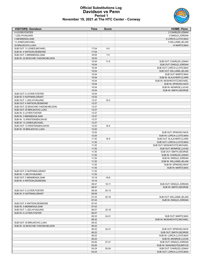### **Official Substitutions Log Davidson vs Penn Period 1 November 19, 2021 at The HTC Center - Conway**



| <b>VISITORS: Davidson</b>          | <b>Time</b>    | <b>Score</b> | <b>HOME: Penn</b>                                    |
|------------------------------------|----------------|--------------|------------------------------------------------------|
| 0 LOYER, FOSTER                    |                |              | 2 CHARLES.JONAH                                      |
| 1 LEE, HYUNJUNG                    |                |              | 3 DINGLE, JORDAN                                     |
| 3 MENNENGA, SAM                    |                |              | 4 LORCA-LLOYD, MAX                                   |
| 13 JONES, MICHAEL                  |                |              | 5 WILLIAMS, JELANI                                   |
| 35 BRAJKOVIC, LUKA                 |                |              | 14 MARTZ, MAX                                        |
| SUB OUT: 13 JONES, MICHAEL         | 17:04          | $4 - 0$      |                                                      |
| SUB IN: 4 WATSON, DESMOND          | 17:04          |              |                                                      |
| SUB OUT: 3 MENNENGA, SAM           | 16:55          | $7 - 0$      |                                                      |
| SUB IN: 32 BOACHIE-YIADOM, NELSON  | 16:55          |              |                                                      |
|                                    | 15:54          | $11-0$       | SUB OUT: CHARLES, JONAH                              |
|                                    | 15:54          |              | SUB OUT: DINGLE, JORDAN                              |
|                                    | 15:54          |              | SUB OUT: LORCA-LLOYD, MAX                            |
|                                    | 15:54          |              | SUB OUT: WILLIAMS, JELANI                            |
|                                    | 15:54          |              | SUB OUT: MARTZ, MAX                                  |
|                                    | 15:54          |              | SUB IN: SLAJCHERT, CLARK                             |
|                                    | 15:54<br>15:54 |              | SUB IN: MOSHKOVITZ, MICHAEL<br>SUB IN: SPINOSO, NICK |
|                                    | 15:54          |              | SUB IN: MONROE, LUCAS                                |
|                                    | 15:54          |              | SUB IN: SMITH, GEORGE                                |
| SUB OUT: 0 LOYER, FOSTER           | 15:54          |              |                                                      |
| SUB IN: 5 HUFFMAN, GRANT           | 15:54          |              |                                                      |
| SUB OUT: 1 LEE, HYUNJUNG           | 13:37          | $16-3$       |                                                      |
| SUB OUT: 4 WATSON, DESMOND         | 13:37          |              |                                                      |
| SUB OUT: 32 BOACHIE-YIADOM, NELSON | 13:37          |              |                                                      |
| SUB OUT: 35 BRAJKOVIC, LUKA        | 13:37          |              |                                                      |
| SUB IN: 0 LOYER, FOSTER            | 13:37          |              |                                                      |
| SUB IN: 3 MENNENGA, SAM            | 13:37          |              |                                                      |
| SUB IN: 12 KRISTENSEN.DAVID        | 13:37          |              |                                                      |
| SUB IN: 13 JONES, MICHAEL          | 13:37          |              |                                                      |
| SUB OUT: 12 KRISTENSEN, DAVID      | 12:20          | $16 - 4$     |                                                      |
| SUB IN: 35 BRAJKOVIC, LUKA         | 12:20          |              |                                                      |
|                                    | 12:20          |              | SUB OUT: SPINOSO, NICK                               |
|                                    | 12:20          |              | SUB IN: LORCA-LLOYD, MAX                             |
|                                    | 11:35          | $16 - 5$     | SUB OUT: SLAJCHERT, CLARK                            |
|                                    | 11:35          |              | SUB OUT: LORCA-LLOYD, MAX                            |
|                                    | 11:35          |              | SUB OUT: MOSHKOVITZ, MICHAEL                         |
|                                    | 11:35          |              | SUB OUT: MONROE, LUCAS                               |
|                                    | 11:35          |              | SUB OUT: SMITH, GEORGE                               |
|                                    | 11:35          |              | SUB IN: CHARLES, JONAH                               |
|                                    | 11:35          |              | SUB IN: DINGLE, JORDAN                               |
|                                    | 11:35          |              | SUB IN: WILLIAMS, JELANI                             |
|                                    | 11:35          |              | SUB IN: SPINOSO, NICK                                |
|                                    | 11:35          |              | SUB IN: MARTZ.MAX                                    |
| SUB OUT: 5 HUFFMAN, GRANT          | 11:35          |              |                                                      |
| SUB IN: 1 LEE, HYUNJUNG            | 11:35          |              |                                                      |
| SUB OUT: 3 MENNENGA, SAM           | 10:19          | $18 - 8$     |                                                      |
| SUB IN: 4 WATSON, DESMOND          | 10:19          |              |                                                      |
|                                    | 09:47          | $18-11$      | SUB OUT: DINGLE, JORDAN                              |
|                                    | 09:47          |              | SUB IN: SMITH, GEORGE                                |
| SUB OUT: 0 LOYER, FOSTER           | 08:38          | $20-13$      |                                                      |
| SUB IN: 5 HUFFMAN, GRANT           | 08:38          |              |                                                      |
|                                    | 07:43          | $20 - 16$    | SUB OUT: WILLIAMS, JELANI                            |
|                                    | 07:43          |              | SUB IN: DINGLE, JORDAN                               |
| SUB OUT: 4 WATSON, DESMOND         | 07:43          |              |                                                      |
| SUB IN: 3 MENNENGA, SAM            | 07:43          |              |                                                      |
| SUB OUT: 1 LEE, HYUNJUNG           | 06:57          | $22 - 18$    |                                                      |
| SUB IN: 0 LOYER, FOSTER            | 06:57          |              |                                                      |
|                                    | 06:32          | 24-21        | SUB OUT: MARTZ, MAX                                  |
|                                    | 06:32          |              | SUB IN: MOSHKOVITZ, MICHAEL                          |
| SUB OUT: 35 BRAJKOVIC, LUKA        | 06:32          |              |                                                      |
| SUB IN: 32 BOACHIE-YIADOM, NELSON  | 06:32          |              |                                                      |
|                                    | 06:22          | 24-21        | SUB OUT: SPINOSO, NICK                               |
|                                    | 06:22          |              | SUB OUT: SMITH, GEORGE                               |
|                                    | 06:22          |              | SUB IN: LORCA-LLOYD, MAX                             |
|                                    | 06:22          |              | SUB IN: MONROE, LUCAS                                |
|                                    | 05:26          | $27 - 21$    | SUB OUT: DINGLE, JORDAN                              |
|                                    | 05:26          |              | SUB IN: WASHINGTON, BRYCE                            |
|                                    | 04:24          | 29-24        | SUB OUT: CHARLES, JONAH                              |
|                                    | 04:24          |              | SUB OUT: LORCA-LLOYD, MAX                            |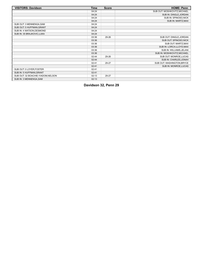| <b>VISITORS: Davidson</b>          | Time  | <b>Score</b> | <b>HOME: Penn</b>            |
|------------------------------------|-------|--------------|------------------------------|
|                                    | 04:24 |              | SUB OUT: MOSHKOVITZ, MICHAEL |
|                                    | 04:24 |              | SUB IN: DINGLE, JORDAN       |
|                                    | 04:24 |              | SUB IN: SPINOSO, NICK        |
|                                    | 04:24 |              | SUB IN: MARTZ, MAX           |
| SUB OUT: 3 MENNENGA, SAM           | 04:24 |              |                              |
| SUB OUT: 5 HUFFMAN, GRANT          | 04:24 |              |                              |
| SUB IN: 4 WATSON, DESMOND          | 04:24 |              |                              |
| SUB IN: 35 BRAJKOVIC, LUKA         | 04:24 |              |                              |
|                                    | 03:36 | 29-26        | SUB OUT: DINGLE, JORDAN      |
|                                    | 03:36 |              | SUB OUT: SPINOSO, NICK       |
|                                    | 03:36 |              | SUB OUT: MARTZ, MAX          |
|                                    | 03:36 |              | SUB IN: LORCA-LLOYD, MAX     |
|                                    | 03:36 |              | SUB IN: WILLIAMS, JELANI     |
|                                    | 03:36 |              | SUB IN: MOSHKOVITZ, MICHAEL  |
|                                    | 02:44 | 29-26        | SUB OUT: MONROE, LUCAS       |
|                                    | 02:44 |              | SUB IN: CHARLES, JONAH       |
|                                    | 02:41 | 29-27        | SUB OUT: WASHINGTON, BRYCE   |
|                                    | 02:41 |              | SUB IN: MONROE, LUCAS        |
| SUB OUT: 0 LOYER, FOSTER           | 02:41 |              |                              |
| SUB IN: 5 HUFFMAN, GRANT           | 02:41 |              |                              |
| SUB OUT: 32 BOACHIE-YIADOM, NELSON | 02:13 | 29-27        |                              |
| SUB IN: 3 MENNENGA, SAM            | 02:13 |              |                              |

**Davidson 32, Penn 29**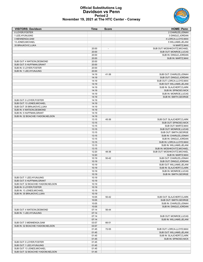

### **Official Substitutions Log Davidson vs Penn Period 2 November 19, 2021 at The HTC Center - Conway**

| <b>VISITORS: Davidson</b>                                     | Time           | <b>Score</b> | <b>HOME: Penn</b>                                       |
|---------------------------------------------------------------|----------------|--------------|---------------------------------------------------------|
| 0 LOYER, FOSTER                                               |                |              | 2 CHARLES, JONAH                                        |
| 1 LEE, HYUNJUNG                                               |                |              | 3 DINGLE, JORDAN                                        |
| 3 MENNENGA, SAM                                               |                |              | 4 LORCA-LLOYD, MAX                                      |
| 13 JONES, MICHAEL                                             |                |              | 5 WILLIAMS, JELANI                                      |
| 35 BRAJKOVIC, LUKA                                            | 20:00          |              | 14 MARTZ, MAX<br>SUB OUT: MOSHKOVITZ, MICHAEL           |
|                                                               | 20:00          |              | SUB OUT: MONROE, LUCAS                                  |
|                                                               | 20:00          |              | SUB IN: DINGLE, JORDAN                                  |
|                                                               | 20:00          |              | SUB IN: MARTZ, MAX                                      |
| SUB OUT: 4 WATSON.DESMOND                                     | 20:00          |              |                                                         |
| SUB OUT: 5 HUFFMAN, GRANT                                     | 20:00          |              |                                                         |
| SUB IN: 0 LOYER, FOSTER                                       | 20:00          |              |                                                         |
| SUB IN: 1 LEE, HYUNJUNG                                       | 20:00          |              |                                                         |
|                                                               | 14:19          | 41-36        | SUB OUT: CHARLES, JONAH                                 |
|                                                               | 14:19          |              | SUB OUT: DINGLE, JORDAN                                 |
|                                                               | 14:19          |              | SUB OUT: LORCA-LLOYD, MAX                               |
|                                                               | 14:19          |              | SUB OUT: WILLIAMS, JELANI                               |
|                                                               | 14:19          |              | SUB IN: SLAJCHERT, CLARK                                |
|                                                               | 14:19          |              | SUB IN: SPINOSO, NICK                                   |
|                                                               | 14:19<br>14:19 |              | SUB IN: MONROE, LUCAS<br>SUB IN: SMITH, GEORGE          |
| SUB OUT: 0 LOYER, FOSTER                                      | 14:19          |              |                                                         |
| SUB OUT: 13 JONES, MICHAEL                                    | 14:19          |              |                                                         |
| SUB OUT: 35 BRAJKOVIC, LUKA                                   | 14:19          |              |                                                         |
| SUB IN: 4 WATSON, DESMOND                                     | 14:19          |              |                                                         |
| SUB IN: 5 HUFFMAN.GRANT                                       | 14:19          |              |                                                         |
| SUB IN: 32 BOACHIE-YIADOM, NELSON                             | 14:19          |              |                                                         |
|                                                               | 13:15          | 45-36        | SUB OUT: SLAJCHERT, CLARK                               |
|                                                               | 13:15          |              | SUB OUT: SPINOSO, NICK                                  |
|                                                               | 13:15          |              | SUB OUT: MARTZ, MAX                                     |
|                                                               | 13:15          |              | SUB OUT: MONROE, LUCAS                                  |
|                                                               | 13:15          |              | SUB OUT: SMITH, GEORGE                                  |
|                                                               | 13:15          |              | SUB IN: CHARLES, JONAH                                  |
|                                                               | 13:15          |              | SUB IN: DINGLE, JORDAN                                  |
|                                                               | 13:15          |              | SUB IN: LORCA-LLOYD, MAX                                |
|                                                               | 13:15<br>13:15 |              | SUB IN: WILLIAMS, JELANI<br>SUB IN: MOSHKOVITZ, MICHAEL |
|                                                               | 12:20          | 48-36        | SUB OUT: MOSHKOVITZ, MICHAEL                            |
|                                                               | 12:20          |              | SUB IN: MARTZ, MAX                                      |
|                                                               | 10:19          | 50-42        | SUB OUT: CHARLES, JONAH                                 |
|                                                               | 10:19          |              | SUB OUT: DINGLE, JORDAN                                 |
|                                                               | 10:19          |              | SUB OUT: WILLIAMS, JELANI                               |
|                                                               | 10:19          |              | SUB IN: SLAJCHERT, CLARK                                |
|                                                               | 10:19          |              | SUB IN: MONROE.LUCAS                                    |
|                                                               | 10:19          |              | <b>SUB IN: SMITH, GEORGE</b>                            |
| SUB OUT: 1 LEE, HYUNJUNG                                      | 10:19          |              |                                                         |
| SUB OUT: 5 HUFFMAN, GRANT                                     | 10:19          |              |                                                         |
| SUB OUT: 32 BOACHIE-YIADOM, NELSON<br>SUB IN: 0 LOYER, FOSTER | 10:19<br>10:19 |              |                                                         |
| SUB IN: 13 JONES, MICHAEL                                     | 10:19          |              |                                                         |
| SUB IN: 35 BRAJKOVIC, LUKA                                    | 10:19          |              |                                                         |
|                                                               | 10:05          | 50-42        | SUB OUT: SLAJCHERT, CLARK                               |
|                                                               | 10:05          |              | SUB OUT: SMITH, GEORGE                                  |
|                                                               | 10:05          |              | SUB IN: CHARLES, JONAH                                  |
|                                                               | 10:05          |              | SUB IN: DINGLE, JORDAN                                  |
| SUB OUT: 4 WATSON, DESMOND                                    | 07:14          | 56-44        |                                                         |
| SUB IN: 1 LEE, HYUNJUNG                                       | 07:14          |              |                                                         |
|                                                               | 07:14          |              | SUB OUT: MONROE, LUCAS                                  |
|                                                               | 07:14          |              | SUB IN: WILLIAMS, JELANI                                |
| SUB OUT: 3 MENNENGA, SAM                                      | 03:57          | 66-51        |                                                         |
| SUB IN: 32 BOACHIE-YIADOM, NELSON                             | 03:57          |              |                                                         |
|                                                               | 01:45          | 72-55        | SUB OUT: LORCA-LLOYD, MAX                               |
|                                                               | 01:45<br>01:45 |              | SUB OUT: WILLIAMS, JELANI<br>SUB IN: SLAJCHERT, CLARK   |
|                                                               | 01:45          |              | SUB IN: SPINOSO, NICK                                   |
| SUB OUT: 0 LOYER, FOSTER                                      | 01:45          |              |                                                         |
| SUB OUT: 1 LEE, HYUNJUNG                                      | 01:45          |              |                                                         |
| SUB OUT: 13 JONES, MICHAEL                                    | 01:45          |              |                                                         |
| SUB OUT: 32 BOACHIE-YIADOM, NELSON                            | 01:45          |              |                                                         |